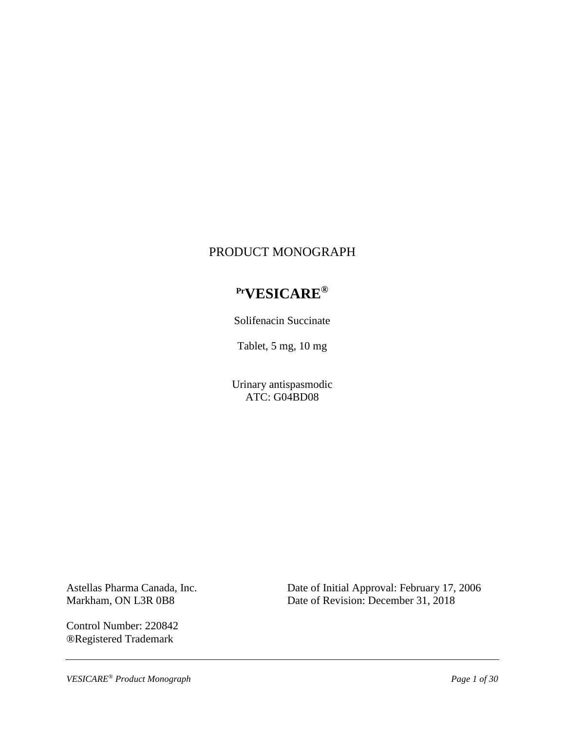# PRODUCT MONOGRAPH

# **PrVESICARE®**

Solifenacin Succinate

Tablet, 5 mg, 10 mg

Urinary antispasmodic ATC: G04BD08

Astellas Pharma Canada, Inc. Markham, ON L3R 0B8

Control Number: 220842 ®Registered Trademark

Date of Initial Approval: February 17, 2006 Date of Revision: December 31, 2018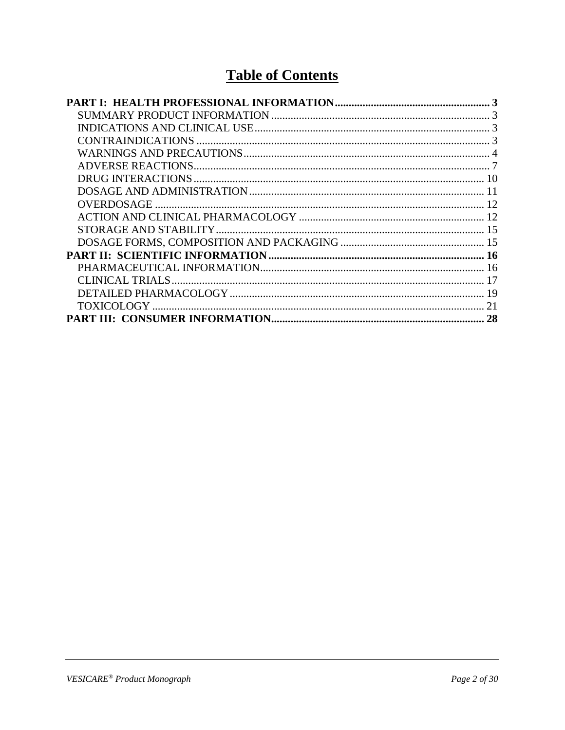# **Table of Contents**

| 28 |
|----|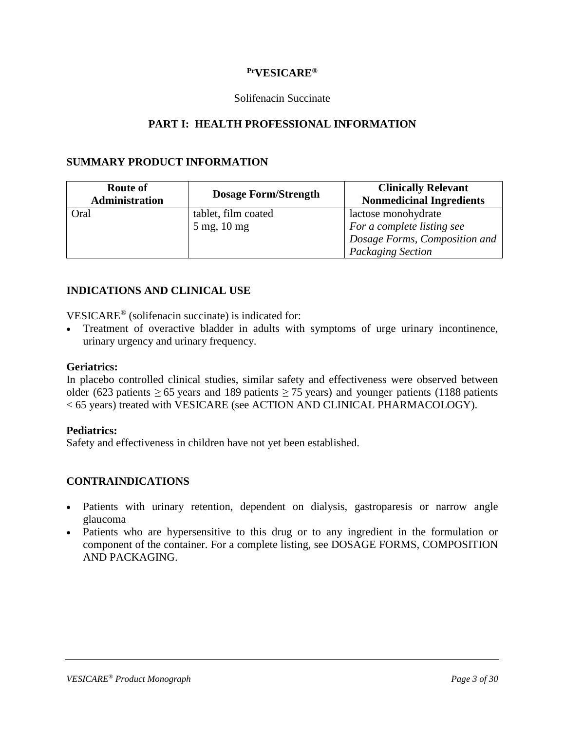#### **PrVESICARE®**

#### Solifenacin Succinate

#### **PART I: HEALTH PROFESSIONAL INFORMATION**

#### <span id="page-2-1"></span><span id="page-2-0"></span>**SUMMARY PRODUCT INFORMATION**

| <b>Route of</b><br><b>Administration</b> | <b>Dosage Form/Strength</b> | <b>Clinically Relevant</b><br><b>Nonmedicinal Ingredients</b> |
|------------------------------------------|-----------------------------|---------------------------------------------------------------|
| Oral                                     | tablet, film coated         | lactose monohydrate                                           |
|                                          | $5 \text{ mg}$ , 10 mg      | For a complete listing see<br>Dosage Forms, Composition and   |
|                                          |                             | <b>Packaging Section</b>                                      |

#### <span id="page-2-2"></span>**INDICATIONS AND CLINICAL USE**

VESICARE® (solifenacin succinate) is indicated for:

• Treatment of overactive bladder in adults with symptoms of urge urinary incontinence, urinary urgency and urinary frequency.

#### **Geriatrics:**

In placebo controlled clinical studies, similar safety and effectiveness were observed between older (623 patients  $\geq$  65 years and 189 patients  $\geq$  75 years) and younger patients (1188 patients < 65 years) treated with VESICARE (see ACTION AND CLINICAL PHARMACOLOGY).

#### **Pediatrics:**

Safety and effectiveness in children have not yet been established.

#### <span id="page-2-3"></span>**CONTRAINDICATIONS**

- Patients with urinary retention, dependent on dialysis, gastroparesis or narrow angle glaucoma
- Patients who are hypersensitive to this drug or to any ingredient in the formulation or component of the container. For a complete listing, see DOSAGE FORMS, COMPOSITION AND PACKAGING.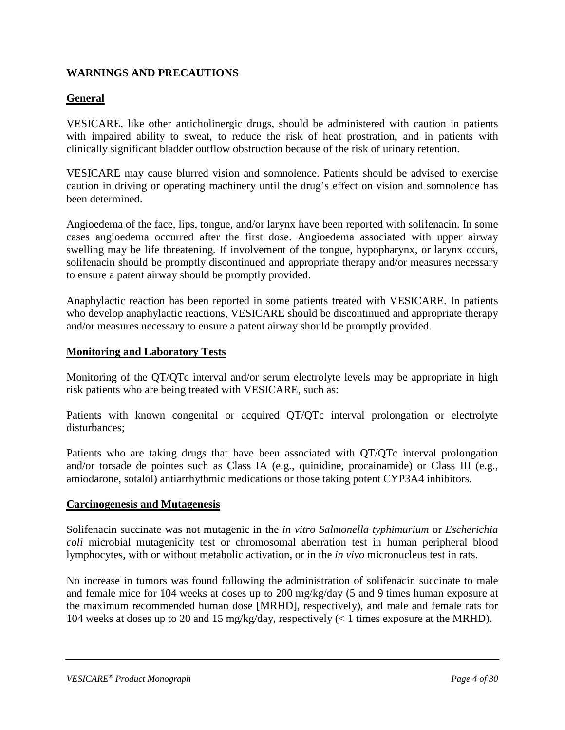### <span id="page-3-0"></span>**WARNINGS AND PRECAUTIONS**

### **General**

VESICARE, like other anticholinergic drugs, should be administered with caution in patients with impaired ability to sweat, to reduce the risk of heat prostration, and in patients with clinically significant bladder outflow obstruction because of the risk of urinary retention.

VESICARE may cause blurred vision and somnolence. Patients should be advised to exercise caution in driving or operating machinery until the drug's effect on vision and somnolence has been determined.

Angioedema of the face, lips, tongue, and/or larynx have been reported with solifenacin. In some cases angioedema occurred after the first dose. Angioedema associated with upper airway swelling may be life threatening. If involvement of the tongue, hypopharynx, or larynx occurs, solifenacin should be promptly discontinued and appropriate therapy and/or measures necessary to ensure a patent airway should be promptly provided.

Anaphylactic reaction has been reported in some patients treated with VESICARE. In patients who develop anaphylactic reactions, VESICARE should be discontinued and appropriate therapy and/or measures necessary to ensure a patent airway should be promptly provided.

#### **Monitoring and Laboratory Tests**

Monitoring of the QT/QTc interval and/or serum electrolyte levels may be appropriate in high risk patients who are being treated with VESICARE, such as:

Patients with known congenital or acquired QT/QTc interval prolongation or electrolyte disturbances;

Patients who are taking drugs that have been associated with QT/QTc interval prolongation and/or torsade de pointes such as Class IA (e.g., quinidine, procainamide) or Class III (e.g., amiodarone, sotalol) antiarrhythmic medications or those taking potent CYP3A4 inhibitors.

#### **Carcinogenesis and Mutagenesis**

Solifenacin succinate was not mutagenic in the *in vitro Salmonella typhimurium* or *Escherichia coli* microbial mutagenicity test or chromosomal aberration test in human peripheral blood lymphocytes, with or without metabolic activation, or in the *in vivo* micronucleus test in rats.

No increase in tumors was found following the administration of solifenacin succinate to male and female mice for 104 weeks at doses up to 200 mg/kg/day (5 and 9 times human exposure at the maximum recommended human dose [MRHD], respectively), and male and female rats for 104 weeks at doses up to 20 and 15 mg/kg/day, respectively (< 1 times exposure at the MRHD).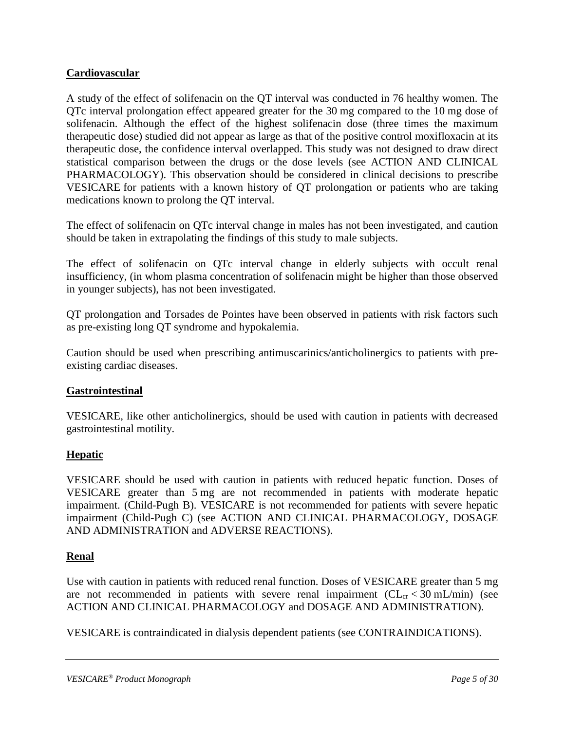### **Cardiovascular**

A study of the effect of solifenacin on the QT interval was conducted in 76 healthy women. The QTc interval prolongation effect appeared greater for the 30 mg compared to the 10 mg dose of solifenacin. Although the effect of the highest solifenacin dose (three times the maximum therapeutic dose) studied did not appear as large as that of the positive control moxifloxacin at its therapeutic dose, the confidence interval overlapped. This study was not designed to draw direct statistical comparison between the drugs or the dose levels (see ACTION AND CLINICAL PHARMACOLOGY). This observation should be considered in clinical decisions to prescribe VESICARE for patients with a known history of QT prolongation or patients who are taking medications known to prolong the QT interval.

The effect of solifenacin on QTc interval change in males has not been investigated, and caution should be taken in extrapolating the findings of this study to male subjects.

The effect of solifenacin on QTc interval change in elderly subjects with occult renal insufficiency, (in whom plasma concentration of solifenacin might be higher than those observed in younger subjects), has not been investigated.

QT prolongation and Torsades de Pointes have been observed in patients with risk factors such as pre-existing long QT syndrome and hypokalemia.

Caution should be used when prescribing antimuscarinics/anticholinergics to patients with preexisting cardiac diseases.

### **Gastrointestinal**

VESICARE, like other anticholinergics, should be used with caution in patients with decreased gastrointestinal motility.

### **Hepatic**

VESICARE should be used with caution in patients with reduced hepatic function. Doses of VESICARE greater than 5 mg are not recommended in patients with moderate hepatic impairment. (Child-Pugh B). VESICARE is not recommended for patients with severe hepatic impairment (Child-Pugh C) (see ACTION AND CLINICAL PHARMACOLOGY, DOSAGE AND ADMINISTRATION and ADVERSE REACTIONS).

### **Renal**

Use with caution in patients with reduced renal function. Doses of VESICARE greater than 5 mg are not recommended in patients with severe renal impairment  $CL_{cr} < 30$  mL/min) (see ACTION AND CLINICAL PHARMACOLOGY and DOSAGE AND ADMINISTRATION).

VESICARE is contraindicated in dialysis dependent patients (see CONTRAINDICATIONS).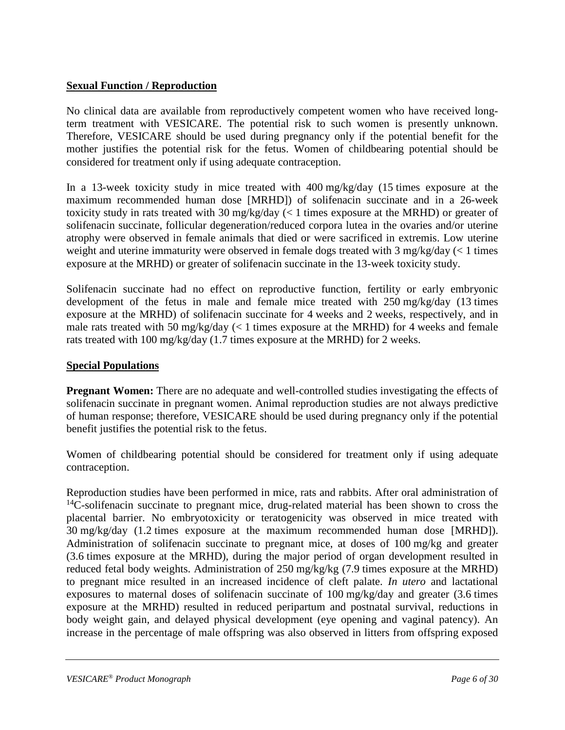### **Sexual Function / Reproduction**

No clinical data are available from reproductively competent women who have received longterm treatment with VESICARE. The potential risk to such women is presently unknown. Therefore, VESICARE should be used during pregnancy only if the potential benefit for the mother justifies the potential risk for the fetus. Women of childbearing potential should be considered for treatment only if using adequate contraception.

In a 13-week toxicity study in mice treated with 400 mg/kg/day (15 times exposure at the maximum recommended human dose [MRHD]) of solifenacin succinate and in a 26-week toxicity study in rats treated with 30 mg/kg/day (< 1 times exposure at the MRHD) or greater of solifenacin succinate, follicular degeneration/reduced corpora lutea in the ovaries and/or uterine atrophy were observed in female animals that died or were sacrificed in extremis. Low uterine weight and uterine immaturity were observed in female dogs treated with 3 mg/kg/day (< 1 times exposure at the MRHD) or greater of solifenacin succinate in the 13-week toxicity study.

Solifenacin succinate had no effect on reproductive function, fertility or early embryonic development of the fetus in male and female mice treated with 250 mg/kg/day (13 times exposure at the MRHD) of solifenacin succinate for 4 weeks and 2 weeks, respectively, and in male rats treated with 50 mg/kg/day  $\ll$  1 times exposure at the MRHD) for 4 weeks and female rats treated with 100 mg/kg/day (1.7 times exposure at the MRHD) for 2 weeks.

### **Special Populations**

**Pregnant Women:** There are no adequate and well-controlled studies investigating the effects of solifenacin succinate in pregnant women. Animal reproduction studies are not always predictive of human response; therefore, VESICARE should be used during pregnancy only if the potential benefit justifies the potential risk to the fetus.

Women of childbearing potential should be considered for treatment only if using adequate contraception.

Reproduction studies have been performed in mice, rats and rabbits. After oral administration of  $14$ C-solifenacin succinate to pregnant mice, drug-related material has been shown to cross the placental barrier. No embryotoxicity or teratogenicity was observed in mice treated with 30 mg/kg/day (1.2 times exposure at the maximum recommended human dose [MRHD]). Administration of solifenacin succinate to pregnant mice, at doses of 100 mg/kg and greater (3.6 times exposure at the MRHD), during the major period of organ development resulted in reduced fetal body weights. Administration of 250 mg/kg/kg (7.9 times exposure at the MRHD) to pregnant mice resulted in an increased incidence of cleft palate. *In utero* and lactational exposures to maternal doses of solifenacin succinate of 100 mg/kg/day and greater (3.6 times exposure at the MRHD) resulted in reduced peripartum and postnatal survival, reductions in body weight gain, and delayed physical development (eye opening and vaginal patency). An increase in the percentage of male offspring was also observed in litters from offspring exposed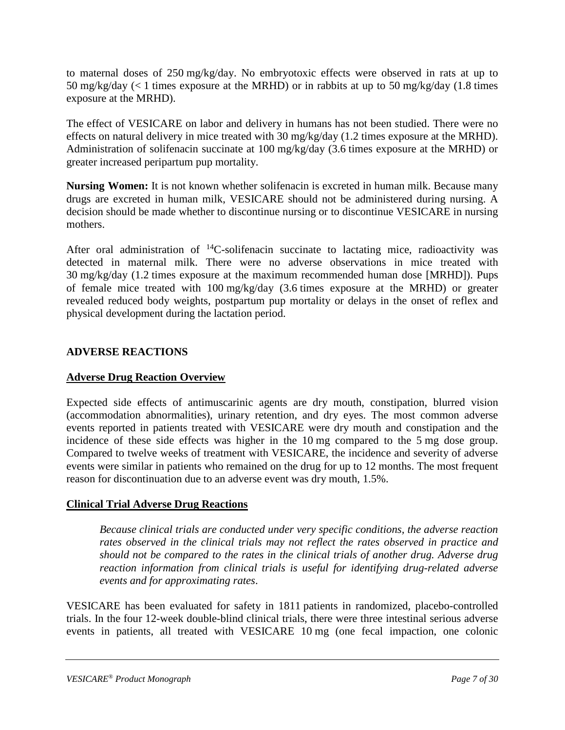to maternal doses of 250 mg/kg/day. No embryotoxic effects were observed in rats at up to 50 mg/kg/day (< 1 times exposure at the MRHD) or in rabbits at up to 50 mg/kg/day (1.8 times exposure at the MRHD).

The effect of VESICARE on labor and delivery in humans has not been studied. There were no effects on natural delivery in mice treated with 30 mg/kg/day (1.2 times exposure at the MRHD). Administration of solifenacin succinate at 100 mg/kg/day (3.6 times exposure at the MRHD) or greater increased peripartum pup mortality.

**Nursing Women:** It is not known whether solifenacin is excreted in human milk. Because many drugs are excreted in human milk, VESICARE should not be administered during nursing. A decision should be made whether to discontinue nursing or to discontinue VESICARE in nursing mothers.

After oral administration of  $^{14}$ C-solifenacin succinate to lactating mice, radioactivity was detected in maternal milk. There were no adverse observations in mice treated with 30 mg/kg/day (1.2 times exposure at the maximum recommended human dose [MRHD]). Pups of female mice treated with 100 mg/kg/day (3.6 times exposure at the MRHD) or greater revealed reduced body weights, postpartum pup mortality or delays in the onset of reflex and physical development during the lactation period.

### <span id="page-6-0"></span>**ADVERSE REACTIONS**

### **Adverse Drug Reaction Overview**

Expected side effects of antimuscarinic agents are dry mouth, constipation, blurred vision (accommodation abnormalities), urinary retention, and dry eyes. The most common adverse events reported in patients treated with VESICARE were dry mouth and constipation and the incidence of these side effects was higher in the 10 mg compared to the 5 mg dose group. Compared to twelve weeks of treatment with VESICARE, the incidence and severity of adverse events were similar in patients who remained on the drug for up to 12 months. The most frequent reason for discontinuation due to an adverse event was dry mouth, 1.5%.

### **Clinical Trial Adverse Drug Reactions**

*Because clinical trials are conducted under very specific conditions, the adverse reaction rates observed in the clinical trials may not reflect the rates observed in practice and should not be compared to the rates in the clinical trials of another drug. Adverse drug reaction information from clinical trials is useful for identifying drug-related adverse events and for approximating rates*.

VESICARE has been evaluated for safety in 1811 patients in randomized, placebo-controlled trials. In the four 12-week double-blind clinical trials, there were three intestinal serious adverse events in patients, all treated with VESICARE 10 mg (one fecal impaction, one colonic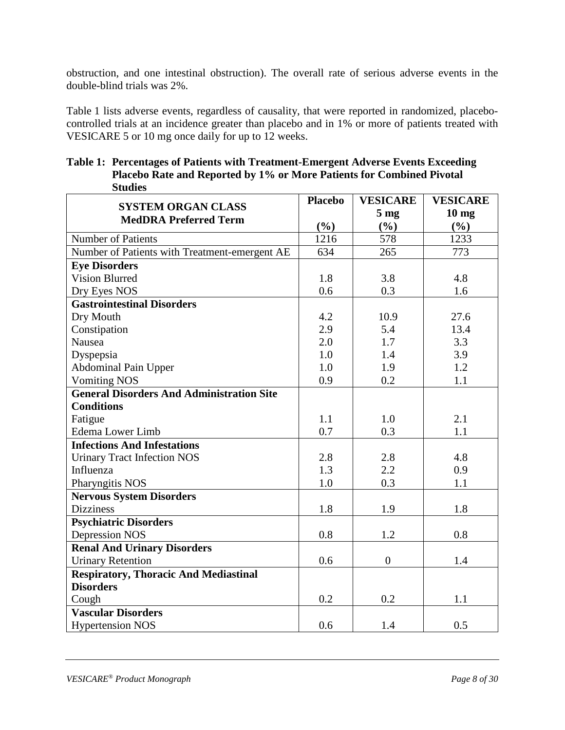obstruction, and one intestinal obstruction). The overall rate of serious adverse events in the double-blind trials was 2%.

Table 1 lists adverse events, regardless of causality, that were reported in randomized, placebocontrolled trials at an incidence greater than placebo and in 1% or more of patients treated with VESICARE 5 or 10 mg once daily for up to 12 weeks.

| Studies                                          |                |                 |                  |
|--------------------------------------------------|----------------|-----------------|------------------|
| <b>SYSTEM ORGAN CLASS</b>                        | <b>Placebo</b> | <b>VESICARE</b> | <b>VESICARE</b>  |
| <b>MedDRA Preferred Term</b>                     |                | 5 <sub>mg</sub> | 10 <sub>mg</sub> |
|                                                  | (%)            | (%)             | (%)              |
| Number of Patients                               | 1216           | 578             | 1233             |
| Number of Patients with Treatment-emergent AE    | 634            | 265             | 773              |
| <b>Eve Disorders</b>                             |                |                 |                  |
| <b>Vision Blurred</b>                            | 1.8            | 3.8             | 4.8              |
| Dry Eyes NOS                                     | 0.6            | 0.3             | 1.6              |
| <b>Gastrointestinal Disorders</b>                |                |                 |                  |
| Dry Mouth                                        | 4.2            | 10.9            | 27.6             |
| Constipation                                     | 2.9            | 5.4             | 13.4             |
| <b>Nausea</b>                                    | 2.0            | 1.7             | 3.3              |
| Dyspepsia                                        | 1.0            | 1.4             | 3.9              |
| <b>Abdominal Pain Upper</b>                      | 1.0            | 1.9             | 1.2              |
| <b>Vomiting NOS</b>                              | 0.9            | 0.2             | 1.1              |
| <b>General Disorders And Administration Site</b> |                |                 |                  |
| <b>Conditions</b>                                |                |                 |                  |
| Fatigue                                          | 1.1            | 1.0             | 2.1              |
| <b>Edema</b> Lower Limb                          | 0.7            | 0.3             | 1.1              |
| <b>Infections And Infestations</b>               |                |                 |                  |
| <b>Urinary Tract Infection NOS</b>               | 2.8            | 2.8             | 4.8              |
| Influenza                                        | 1.3            | 2.2             | 0.9              |
| Pharyngitis NOS                                  | 1.0            | 0.3             | 1.1              |
| <b>Nervous System Disorders</b>                  |                |                 |                  |
| <b>Dizziness</b>                                 | 1.8            | 1.9             | 1.8              |
| <b>Psychiatric Disorders</b>                     |                |                 |                  |
| <b>Depression NOS</b>                            | 0.8            | 1.2             | 0.8              |
| <b>Renal And Urinary Disorders</b>               |                |                 |                  |
| <b>Urinary Retention</b>                         | 0.6            | $\overline{0}$  | 1.4              |
| <b>Respiratory, Thoracic And Mediastinal</b>     |                |                 |                  |
| <b>Disorders</b>                                 |                |                 |                  |
| Cough                                            | 0.2            | 0.2             | 1.1              |
| <b>Vascular Disorders</b>                        |                |                 |                  |
| <b>Hypertension NOS</b>                          | 0.6            | 1.4             | 0.5              |

**Table 1: Percentages of Patients with Treatment-Emergent Adverse Events Exceeding Placebo Rate and Reported by 1% or More Patients for Combined Pivotal Studies**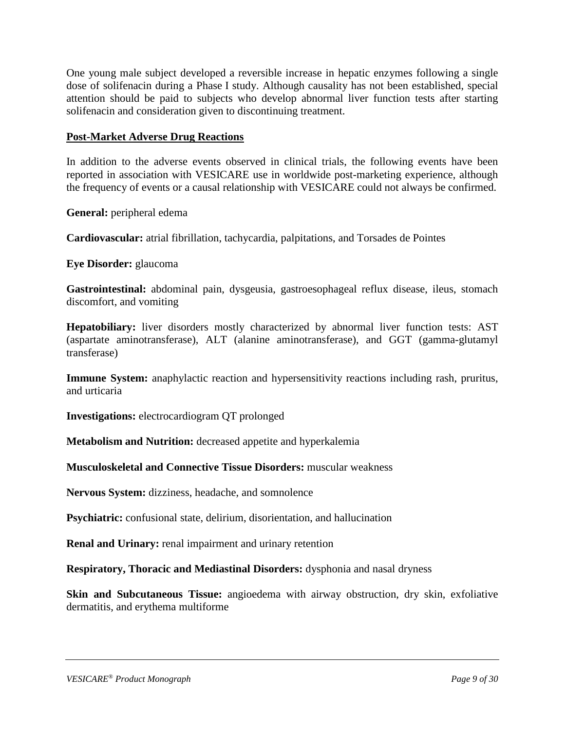One young male subject developed a reversible increase in hepatic enzymes following a single dose of solifenacin during a Phase I study. Although causality has not been established, special attention should be paid to subjects who develop abnormal liver function tests after starting solifenacin and consideration given to discontinuing treatment.

#### **Post-Market Adverse Drug Reactions**

In addition to the adverse events observed in clinical trials, the following events have been reported in association with VESICARE use in worldwide post-marketing experience, although the frequency of events or a causal relationship with VESICARE could not always be confirmed.

**General:** peripheral edema

**Cardiovascular:** atrial fibrillation, tachycardia, palpitations, and Torsades de Pointes

**Eye Disorder:** glaucoma

**Gastrointestinal:** abdominal pain, dysgeusia, gastroesophageal reflux disease, ileus, stomach discomfort, and vomiting

**Hepatobiliary:** liver disorders mostly characterized by abnormal liver function tests: AST (aspartate aminotransferase), ALT (alanine aminotransferase), and GGT (gamma-glutamyl transferase)

**Immune System:** anaphylactic reaction and hypersensitivity reactions including rash, pruritus, and urticaria

**Investigations:** electrocardiogram QT prolonged

**Metabolism and Nutrition:** decreased appetite and hyperkalemia

**Musculoskeletal and Connective Tissue Disorders:** muscular weakness

**Nervous System:** dizziness, headache, and somnolence

**Psychiatric:** confusional state, delirium, disorientation, and hallucination

**Renal and Urinary:** renal impairment and urinary retention

**Respiratory, Thoracic and Mediastinal Disorders:** dysphonia and nasal dryness

**Skin and Subcutaneous Tissue:** angioedema with airway obstruction, dry skin, exfoliative dermatitis, and erythema multiforme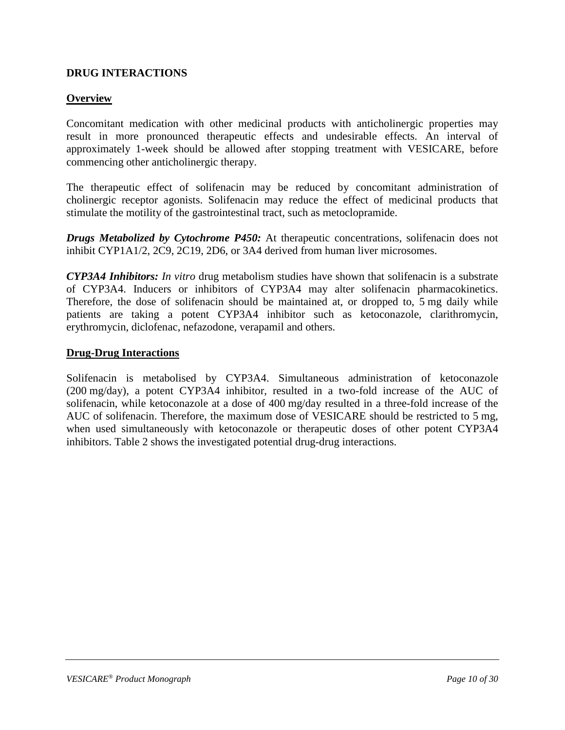#### <span id="page-9-0"></span>**DRUG INTERACTIONS**

#### **Overview**

Concomitant medication with other medicinal products with anticholinergic properties may result in more pronounced therapeutic effects and undesirable effects. An interval of approximately 1-week should be allowed after stopping treatment with VESICARE, before commencing other anticholinergic therapy.

The therapeutic effect of solifenacin may be reduced by concomitant administration of cholinergic receptor agonists. Solifenacin may reduce the effect of medicinal products that stimulate the motility of the gastrointestinal tract, such as metoclopramide.

*Drugs Metabolized by Cytochrome P450:* At therapeutic concentrations, solifenacin does not inhibit CYP1A1/2, 2C9, 2C19, 2D6, or 3A4 derived from human liver microsomes.

*CYP3A4 Inhibitors: In vitro* drug metabolism studies have shown that solifenacin is a substrate of CYP3A4. Inducers or inhibitors of CYP3A4 may alter solifenacin pharmacokinetics. Therefore, the dose of solifenacin should be maintained at, or dropped to, 5 mg daily while patients are taking a potent CYP3A4 inhibitor such as ketoconazole, clarithromycin, erythromycin, diclofenac, nefazodone, verapamil and others.

#### **Drug-Drug Interactions**

Solifenacin is metabolised by CYP3A4. Simultaneous administration of ketoconazole (200 mg/day), a potent CYP3A4 inhibitor, resulted in a two-fold increase of the AUC of solifenacin, while ketoconazole at a dose of 400 mg/day resulted in a three-fold increase of the AUC of solifenacin. Therefore, the maximum dose of VESICARE should be restricted to 5 mg, when used simultaneously with ketoconazole or therapeutic doses of other potent CYP3A4 inhibitors. Table 2 shows the investigated potential drug-drug interactions.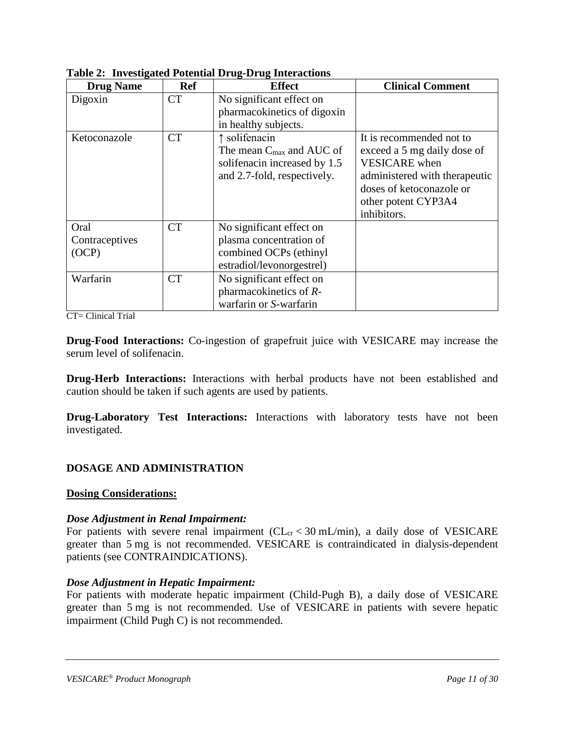| <b>Drug Name</b> | <b>Ref</b> | <b>Effect</b>                        | <b>Clinical Comment</b>       |
|------------------|------------|--------------------------------------|-------------------------------|
| Digoxin          | <b>CT</b>  | No significant effect on             |                               |
|                  |            | pharmacokinetics of digoxin          |                               |
|                  |            | in healthy subjects.                 |                               |
| Ketoconazole     | <b>CT</b>  | ↑ solifenacin                        | It is recommended not to      |
|                  |            | The mean $C_{\text{max}}$ and AUC of | exceed a 5 mg daily dose of   |
|                  |            | solifenacin increased by 1.5         | <b>VESICARE</b> when          |
|                  |            | and 2.7-fold, respectively.          | administered with therapeutic |
|                  |            |                                      | doses of ketoconazole or      |
|                  |            |                                      | other potent CYP3A4           |
|                  |            |                                      | inhibitors.                   |
| Oral             | <b>CT</b>  | No significant effect on             |                               |
| Contraceptives   |            | plasma concentration of              |                               |
| (OCP)            |            | combined OCPs (ethinyl               |                               |
|                  |            | estradiol/levonorgestrel)            |                               |
| Warfarin         | <b>CT</b>  | No significant effect on             |                               |
|                  |            | pharmacokinetics of R-               |                               |
|                  |            | warfarin or S-warfarin               |                               |

**Table 2: Investigated Potential Drug-Drug Interactions**

CT= Clinical Trial

**Drug-Food Interactions:** Co-ingestion of grapefruit juice with VESICARE may increase the serum level of solifenacin.

**Drug-Herb Interactions:** Interactions with herbal products have not been established and caution should be taken if such agents are used by patients.

**Drug-Laboratory Test Interactions:** Interactions with laboratory tests have not been investigated.

### <span id="page-10-0"></span>**DOSAGE AND ADMINISTRATION**

#### **Dosing Considerations:**

#### *Dose Adjustment in Renal Impairment:*

For patients with severe renal impairment ( $CL<sub>cr</sub> < 30$  mL/min), a daily dose of VESICARE greater than 5 mg is not recommended. VESICARE is contraindicated in dialysis-dependent patients (see CONTRAINDICATIONS).

### *Dose Adjustment in Hepatic Impairment:*

For patients with moderate hepatic impairment (Child-Pugh B), a daily dose of VESICARE greater than 5 mg is not recommended. Use of VESICARE in patients with severe hepatic impairment (Child Pugh C) is not recommended.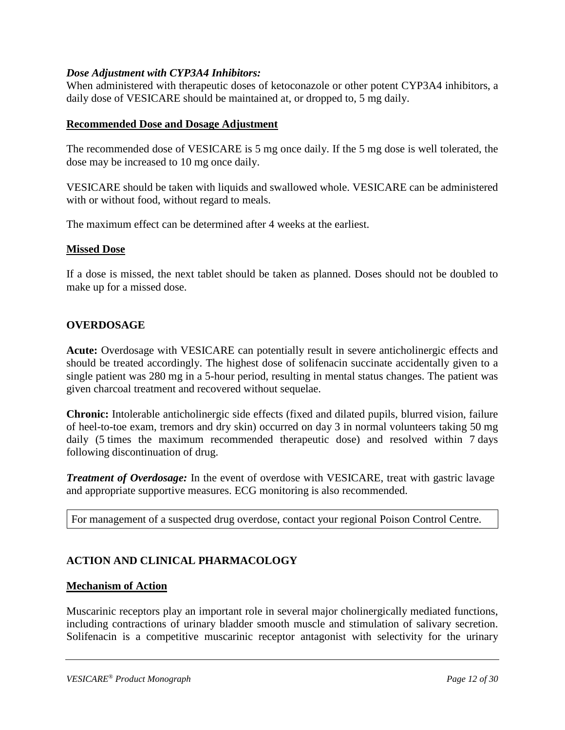#### *Dose Adjustment with CYP3A4 Inhibitors:*

When administered with therapeutic doses of ketoconazole or other potent CYP3A4 inhibitors, a daily dose of VESICARE should be maintained at, or dropped to, 5 mg daily.

#### **Recommended Dose and Dosage Adjustment**

The recommended dose of VESICARE is 5 mg once daily. If the 5 mg dose is well tolerated, the dose may be increased to 10 mg once daily.

VESICARE should be taken with liquids and swallowed whole. VESICARE can be administered with or without food, without regard to meals.

The maximum effect can be determined after 4 weeks at the earliest.

#### **Missed Dose**

If a dose is missed, the next tablet should be taken as planned. Doses should not be doubled to make up for a missed dose.

#### <span id="page-11-0"></span>**OVERDOSAGE**

**Acute:** Overdosage with VESICARE can potentially result in severe anticholinergic effects and should be treated accordingly. The highest dose of solifenacin succinate accidentally given to a single patient was 280 mg in a 5-hour period, resulting in mental status changes. The patient was given charcoal treatment and recovered without sequelae.

**Chronic:** Intolerable anticholinergic side effects (fixed and dilated pupils, blurred vision, failure of heel-to-toe exam, tremors and dry skin) occurred on day 3 in normal volunteers taking 50 mg daily (5 times the maximum recommended therapeutic dose) and resolved within 7 days following discontinuation of drug.

*Treatment of Overdosage:* In the event of overdose with VESICARE, treat with gastric lavage and appropriate supportive measures. ECG monitoring is also recommended.

For management of a suspected drug overdose, contact your regional Poison Control Centre.

### <span id="page-11-1"></span>**ACTION AND CLINICAL PHARMACOLOGY**

#### **Mechanism of Action**

Muscarinic receptors play an important role in several major cholinergically mediated functions, including contractions of urinary bladder smooth muscle and stimulation of salivary secretion. Solifenacin is a competitive muscarinic receptor antagonist with selectivity for the urinary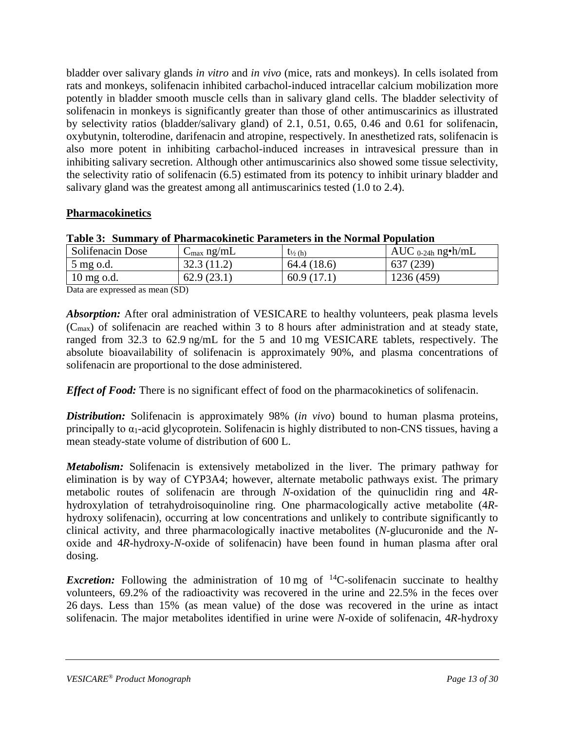bladder over salivary glands *in vitro* and *in vivo* (mice, rats and monkeys). In cells isolated from rats and monkeys, solifenacin inhibited carbachol-induced intracellar calcium mobilization more potently in bladder smooth muscle cells than in salivary gland cells. The bladder selectivity of solifenacin in monkeys is significantly greater than those of other antimuscarinics as illustrated by selectivity ratios (bladder/salivary gland) of 2.1, 0.51, 0.65, 0.46 and 0.61 for solifenacin, oxybutynin, tolterodine, darifenacin and atropine, respectively. In anesthetized rats, solifenacin is also more potent in inhibiting carbachol-induced increases in intravesical pressure than in inhibiting salivary secretion. Although other antimuscarinics also showed some tissue selectivity, the selectivity ratio of solifenacin (6.5) estimated from its potency to inhibit urinary bladder and salivary gland was the greatest among all antimuscarinics tested (1.0 to 2.4).

### **Pharmacokinetics**

| Table 5. Summary of Filarmacokment Farameters in the indifficult optitation |                        |                                  |                        |  |
|-----------------------------------------------------------------------------|------------------------|----------------------------------|------------------------|--|
| Solifenacin Dose                                                            | $C_{\text{max}}$ ng/mL | $\mathfrak{t}_{\frac{1}{2}}$ (h) | AUC $_{0-24h}$ ng•h/mL |  |
| 5 mg o.d.                                                                   | 32.3(11.2)             | 64.4 (18.6)                      | 637 (239)              |  |
| $10 \text{ mg o.d.}$                                                        | 62.9(23.1)             | 60.9(17.1)                       | 1236 (459)             |  |

#### **Table 3: Summary of Pharmacokinetic Parameters in the Normal Population**

Data are expressed as mean (SD)

*Absorption:* After oral administration of VESICARE to healthy volunteers, peak plasma levels (Cmax) of solifenacin are reached within 3 to 8 hours after administration and at steady state, ranged from 32.3 to 62.9 ng/mL for the 5 and 10 mg VESICARE tablets, respectively. The absolute bioavailability of solifenacin is approximately 90%, and plasma concentrations of solifenacin are proportional to the dose administered.

*Effect of Food:* There is no significant effect of food on the pharmacokinetics of solifenacin.

*Distribution:* Solifenacin is approximately 98% (*in vivo*) bound to human plasma proteins, principally to  $\alpha_1$ -acid glycoprotein. Solifenacin is highly distributed to non-CNS tissues, having a mean steady-state volume of distribution of 600 L.

*Metabolism:* Solifenacin is extensively metabolized in the liver. The primary pathway for elimination is by way of CYP3A4; however, alternate metabolic pathways exist. The primary metabolic routes of solifenacin are through *N*-oxidation of the quinuclidin ring and 4*R*hydroxylation of tetrahydroisoquinoline ring. One pharmacologically active metabolite (4*R*hydroxy solifenacin), occurring at low concentrations and unlikely to contribute significantly to clinical activity, and three pharmacologically inactive metabolites (*N*-glucuronide and the *N*oxide and 4*R*-hydroxy-*N*-oxide of solifenacin) have been found in human plasma after oral dosing.

*Excretion:* Following the administration of 10 mg of  $^{14}$ C-solifenacin succinate to healthy volunteers, 69.2% of the radioactivity was recovered in the urine and 22.5% in the feces over 26 days. Less than 15% (as mean value) of the dose was recovered in the urine as intact solifenacin. The major metabolites identified in urine were *N*-oxide of solifenacin, 4*R*-hydroxy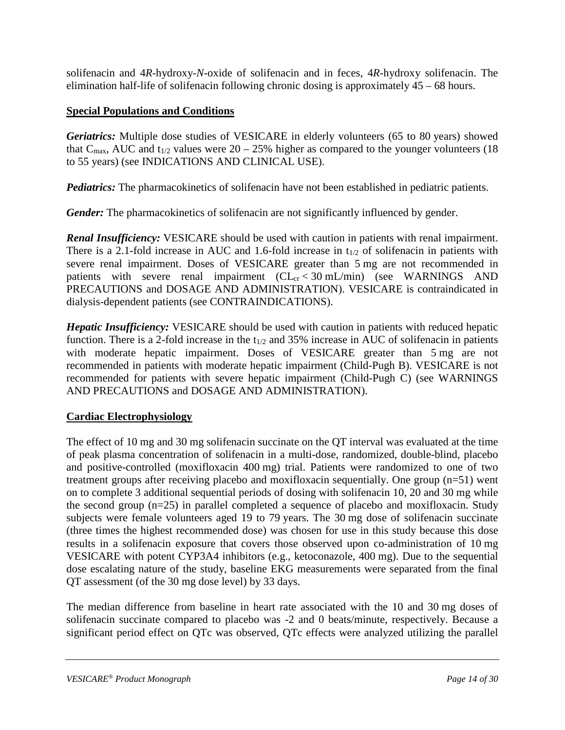solifenacin and 4*R*-hydroxy-*N*-oxide of solifenacin and in feces, 4*R*-hydroxy solifenacin. The elimination half-life of solifenacin following chronic dosing is approximately 45 – 68 hours.

#### **Special Populations and Conditions**

*Geriatrics:* Multiple dose studies of VESICARE in elderly volunteers (65 to 80 years) showed that C<sub>max</sub>, AUC and t<sub>1/2</sub> values were  $20 - 25%$  higher as compared to the younger volunteers (18) to 55 years) (see INDICATIONS AND CLINICAL USE).

*Pediatrics:* The pharmacokinetics of solifenacin have not been established in pediatric patients.

*Gender:* The pharmacokinetics of solifenacin are not significantly influenced by gender.

*Renal Insufficiency:* VESICARE should be used with caution in patients with renal impairment. There is a 2.1-fold increase in AUC and 1.6-fold increase in  $t_{1/2}$  of solifenacin in patients with severe renal impairment. Doses of VESICARE greater than 5 mg are not recommended in patients with severe renal impairment  $(CL<sub>cr</sub> < 30$  mL/min) (see WARNINGS AND PRECAUTIONS and DOSAGE AND ADMINISTRATION). VESICARE is contraindicated in dialysis-dependent patients (see CONTRAINDICATIONS).

*Hepatic Insufficiency:* VESICARE should be used with caution in patients with reduced hepatic function. There is a 2-fold increase in the  $t_{1/2}$  and 35% increase in AUC of solifenacin in patients with moderate hepatic impairment. Doses of VESICARE greater than 5 mg are not recommended in patients with moderate hepatic impairment (Child-Pugh B). VESICARE is not recommended for patients with severe hepatic impairment (Child-Pugh C) (see WARNINGS AND PRECAUTIONS and DOSAGE AND ADMINISTRATION).

### **Cardiac Electrophysiology**

The effect of 10 mg and 30 mg solifenacin succinate on the QT interval was evaluated at the time of peak plasma concentration of solifenacin in a multi-dose, randomized, double-blind, placebo and positive-controlled (moxifloxacin 400 mg) trial. Patients were randomized to one of two treatment groups after receiving placebo and moxifloxacin sequentially. One group (n=51) went on to complete 3 additional sequential periods of dosing with solifenacin 10, 20 and 30 mg while the second group (n=25) in parallel completed a sequence of placebo and moxifloxacin. Study subjects were female volunteers aged 19 to 79 years. The 30 mg dose of solifenacin succinate (three times the highest recommended dose) was chosen for use in this study because this dose results in a solifenacin exposure that covers those observed upon co-administration of 10 mg VESICARE with potent CYP3A4 inhibitors (e.g., ketoconazole, 400 mg). Due to the sequential dose escalating nature of the study, baseline EKG measurements were separated from the final QT assessment (of the 30 mg dose level) by 33 days.

The median difference from baseline in heart rate associated with the 10 and 30 mg doses of solifenacin succinate compared to placebo was -2 and 0 beats/minute, respectively. Because a significant period effect on QTc was observed, QTc effects were analyzed utilizing the parallel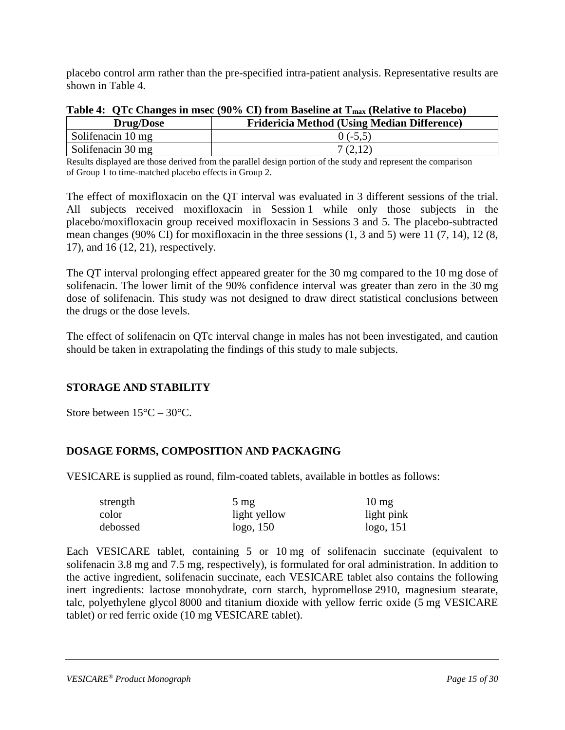placebo control arm rather than the pre-specified intra-patient analysis. Representative results are shown in Table 4.

| <b>Drug/Dose</b>         | <b>Fridericia Method (Using Median Difference)</b> |
|--------------------------|----------------------------------------------------|
| Solifenacin 10 mg        | $0(-5.5)$                                          |
| $\sim$ Solifenacin 30 mg |                                                    |

| Table 4: QTc Changes in msec (90% CI) from Baseline at T <sub>max</sub> (Relative to Placebo) |  |  |  |  |  |  |
|-----------------------------------------------------------------------------------------------|--|--|--|--|--|--|
|-----------------------------------------------------------------------------------------------|--|--|--|--|--|--|

Results displayed are those derived from the parallel design portion of the study and represent the comparison of Group 1 to time-matched placebo effects in Group 2.

The effect of moxifloxacin on the QT interval was evaluated in 3 different sessions of the trial. All subjects received moxifloxacin in Session 1 while only those subjects in the placebo/moxifloxacin group received moxifloxacin in Sessions 3 and 5. The placebo-subtracted mean changes (90% CI) for moxifloxacin in the three sessions (1, 3 and 5) were 11 (7, 14), 12 (8, 17), and 16 (12, 21), respectively.

The QT interval prolonging effect appeared greater for the 30 mg compared to the 10 mg dose of solifenacin. The lower limit of the 90% confidence interval was greater than zero in the 30 mg dose of solifenacin. This study was not designed to draw direct statistical conclusions between the drugs or the dose levels.

The effect of solifenacin on QTc interval change in males has not been investigated, and caution should be taken in extrapolating the findings of this study to male subjects.

### <span id="page-14-0"></span>**STORAGE AND STABILITY**

Store between  $15^{\circ}$ C –  $30^{\circ}$ C.

### <span id="page-14-1"></span>**DOSAGE FORMS, COMPOSITION AND PACKAGING**

VESICARE is supplied as round, film-coated tablets, available in bottles as follows:

| strength | $5 \text{ mg}$ | $10 \text{ mg}$ |
|----------|----------------|-----------------|
| color    | light yellow   | light pink      |
| debossed | logo, 150      | logo, 151       |

Each VESICARE tablet, containing 5 or 10 mg of solifenacin succinate (equivalent to solifenacin 3.8 mg and 7.5 mg, respectively), is formulated for oral administration. In addition to the active ingredient, solifenacin succinate, each VESICARE tablet also contains the following inert ingredients: lactose monohydrate, corn starch, hypromellose 2910, magnesium stearate, talc, polyethylene glycol 8000 and titanium dioxide with yellow ferric oxide (5 mg VESICARE tablet) or red ferric oxide (10 mg VESICARE tablet).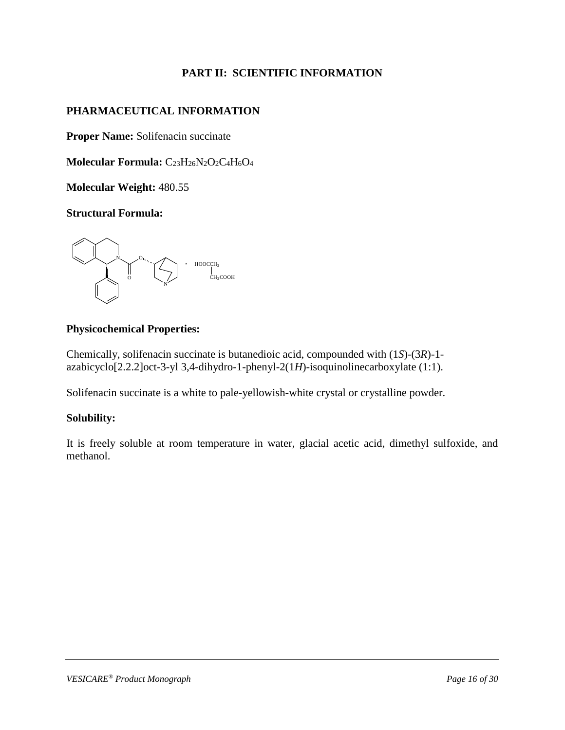### **PART II: SCIENTIFIC INFORMATION**

### <span id="page-15-1"></span><span id="page-15-0"></span>**PHARMACEUTICAL INFORMATION**

**Proper Name:** Solifenacin succinate

Molecular Formula: C<sub>23</sub>H<sub>26</sub>N<sub>2</sub>O<sub>2</sub>C<sub>4</sub>H<sub>6</sub>O<sub>4</sub>

**Molecular Weight:** 480.55

**Structural Formula:**



#### **Physicochemical Properties:**

Chemically, solifenacin succinate is butanedioic acid, compounded with (1*S*)-(3*R*)-1 azabicyclo[2.2.2]oct-3-yl 3,4-dihydro-1-phenyl-2(1*H*)-isoquinolinecarboxylate (1:1).

Solifenacin succinate is a white to pale-yellowish-white crystal or crystalline powder.

### **Solubility:**

It is freely soluble at room temperature in water, glacial acetic acid, dimethyl sulfoxide, and methanol.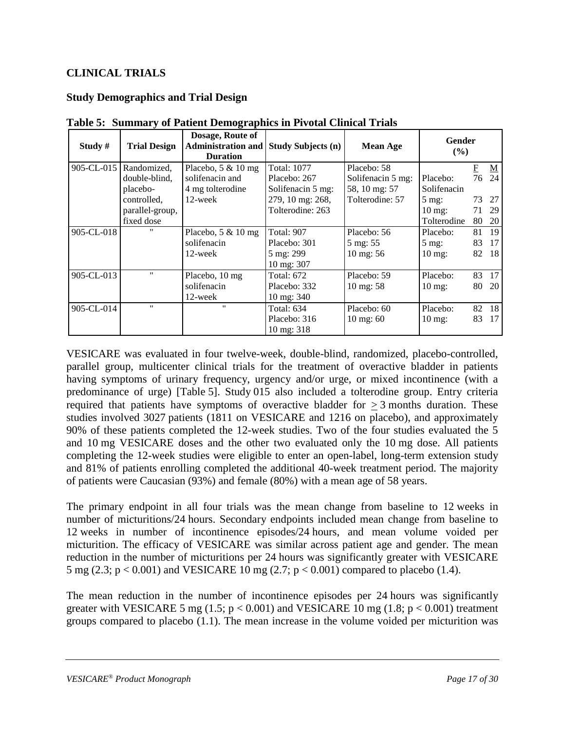### <span id="page-16-0"></span>**CLINICAL TRIALS**

### **Study Demographics and Trial Design**

| Study #    | <b>Trial Design</b> | Dosage, Route of<br><b>Administration and</b><br><b>Duration</b> | <b>Study Subjects (n)</b> | <b>Mean Age</b>      | Gender<br>(%)     |                         |                          |
|------------|---------------------|------------------------------------------------------------------|---------------------------|----------------------|-------------------|-------------------------|--------------------------|
| 905-CL-015 | Randomized,         | Placebo, $5 \& 10$ mg                                            | <b>Total: 1077</b>        | Placebo: 58          |                   | $\overline{\mathrm{E}}$ | $\underline{\mathbf{M}}$ |
|            | double-blind,       | solifenacin and                                                  | Placebo: 267              | Solifenacin 5 mg:    | Placebo:          | 76                      | 24                       |
|            | placebo-            | 4 mg tolterodine                                                 | Solifenacin 5 mg:         | 58, 10 mg: 57        | Solifenacin       |                         |                          |
|            | controlled,         | 12-week                                                          | 279, 10 mg: 268,          | Tolterodine: 57      | $5 \text{ mg}$ :  |                         | 73 27                    |
|            | parallel-group,     |                                                                  | Tolterodine: 263          |                      | $10 \text{ mg}$ : | 71                      | 29                       |
|            | fixed dose          |                                                                  |                           |                      | Tolterodine       | 80                      | -20                      |
| 905-CL-018 | $^{\prime\prime}$   | Placebo, $5 \& 10$ mg                                            | <b>Total: 907</b>         | Placebo: 56          | Placebo:          | 81                      | 19                       |
|            |                     | solifenacin                                                      | Placebo: 301              | 5 mg: 55             | $5 \text{ mg}$ :  | 83                      | 17                       |
|            |                     | 12-week                                                          | 5 mg: 299                 | 10 mg: 56            | $10 \text{ mg}$   | 82                      | 18                       |
|            |                     |                                                                  | 10 mg: 307                |                      |                   |                         |                          |
| 905-CL-013 | $^{\prime\prime}$   | Placebo, 10 mg                                                   | <b>Total: 672</b>         | Placebo: 59          | Placebo:          | 83                      | 17                       |
|            |                     | solifenacin                                                      | Placebo: 332              | $10 \text{ mg}$ : 58 | $10 \text{ mg}$   | 80                      | 20                       |
|            |                     | 12-week                                                          | 10 mg: 340                |                      |                   |                         |                          |
| 905-CL-014 |                     | $^{\prime\prime}$                                                | <b>Total: 634</b>         | Placebo: 60          | Placebo:          | 82                      | -18                      |
|            |                     |                                                                  | Placebo: 316              | $10 \text{ mg}$ : 60 | $10 \text{ mg}$ : | 83                      | 17                       |
|            |                     |                                                                  | $10 \text{ mg}$ : 318     |                      |                   |                         |                          |

**Table 5: Summary of Patient Demographics in Pivotal Clinical Trials**

VESICARE was evaluated in four twelve-week, double-blind, randomized, placebo-controlled, parallel group, multicenter clinical trials for the treatment of overactive bladder in patients having symptoms of urinary frequency, urgency and/or urge, or mixed incontinence (with a predominance of urge) [Table 5]. Study 015 also included a tolterodine group. Entry criteria required that patients have symptoms of overactive bladder for  $\geq 3$  months duration. These studies involved 3027 patients (1811 on VESICARE and 1216 on placebo), and approximately 90% of these patients completed the 12-week studies. Two of the four studies evaluated the 5 and 10 mg VESICARE doses and the other two evaluated only the 10 mg dose. All patients completing the 12-week studies were eligible to enter an open-label, long-term extension study and 81% of patients enrolling completed the additional 40-week treatment period. The majority of patients were Caucasian (93%) and female (80%) with a mean age of 58 years.

The primary endpoint in all four trials was the mean change from baseline to 12 weeks in number of micturitions/24 hours. Secondary endpoints included mean change from baseline to 12 weeks in number of incontinence episodes/24 hours, and mean volume voided per micturition. The efficacy of VESICARE was similar across patient age and gender. The mean reduction in the number of micturitions per 24 hours was significantly greater with VESICARE 5 mg (2.3;  $p < 0.001$ ) and VESICARE 10 mg (2.7;  $p < 0.001$ ) compared to placebo (1.4).

The mean reduction in the number of incontinence episodes per 24 hours was significantly greater with VESICARE 5 mg  $(1.5; p < 0.001)$  and VESICARE 10 mg  $(1.8; p < 0.001)$  treatment groups compared to placebo (1.1). The mean increase in the volume voided per micturition was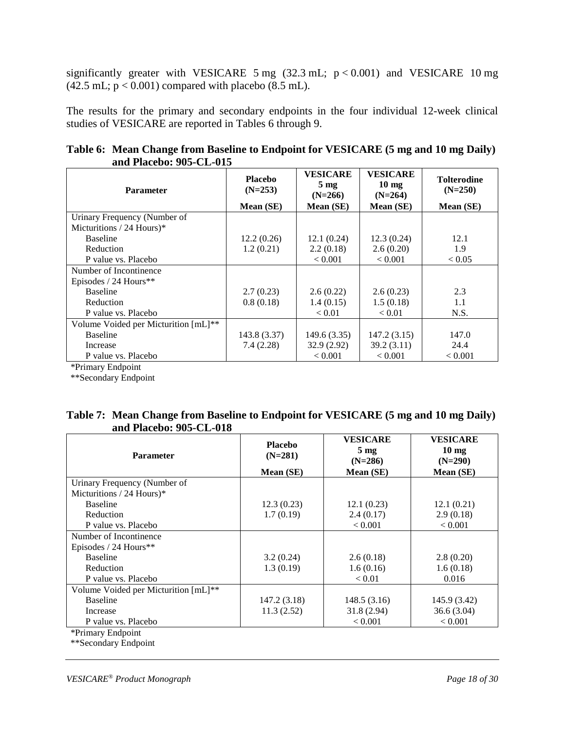significantly greater with VESICARE 5 mg  $(32.3 \text{ mL}; p < 0.001)$  and VESICARE 10 mg  $(42.5 \text{ mL}; \text{p} < 0.001)$  compared with placebo  $(8.5 \text{ mL})$ .

The results for the primary and secondary endpoints in the four individual 12-week clinical studies of VESICARE are reported in Tables 6 through 9.

| Table 6: Mean Change from Baseline to Endpoint for VESICARE (5 mg and 10 mg Daily) |  |
|------------------------------------------------------------------------------------|--|
| and Placebo: 905-CL-015                                                            |  |

| <b>Parameter</b>                     | <b>Placebo</b><br>$(N=253)$ | <b>VESICARE</b><br>$5 \text{ mg}$<br>$(N=266)$ | <b>VESICARE</b><br>$10 \text{ mg}$<br>$(N=264)$ | <b>Tolterodine</b><br>$(N=250)$ |
|--------------------------------------|-----------------------------|------------------------------------------------|-------------------------------------------------|---------------------------------|
|                                      | Mean (SE)                   | Mean (SE)                                      | Mean (SE)                                       | Mean (SE)                       |
| Urinary Frequency (Number of         |                             |                                                |                                                 |                                 |
| Micturitions / 24 Hours)*            |                             |                                                |                                                 |                                 |
| <b>Baseline</b>                      | 12.2(0.26)                  | 12.1(0.24)                                     | 12.3(0.24)                                      | 12.1                            |
| Reduction                            | 1.2(0.21)                   | 2.2(0.18)                                      | 2.6(0.20)                                       | 1.9                             |
| P value vs. Placebo                  |                             | < 0.001                                        | < 0.001                                         | < 0.05                          |
| Number of Incontinence               |                             |                                                |                                                 |                                 |
| Episodes / 24 Hours**                |                             |                                                |                                                 |                                 |
| <b>Baseline</b>                      | 2.7(0.23)                   | 2.6(0.22)                                      | 2.6(0.23)                                       | 2.3                             |
| Reduction                            | 0.8(0.18)                   | 1.4(0.15)                                      | 1.5(0.18)                                       | 1.1                             |
| P value vs. Placebo                  |                             | < 0.01                                         | < 0.01                                          | N.S.                            |
| Volume Voided per Micturition [mL]** |                             |                                                |                                                 |                                 |
| <b>Baseline</b>                      | 143.8 (3.37)                | 149.6 (3.35)                                   | 147.2(3.15)                                     | 147.0                           |
| Increase                             | 7.4(2.28)                   | 32.9(2.92)                                     | 39.2(3.11)                                      | 24.4                            |
| P value vs. Placebo                  |                             | < 0.001                                        | < 0.001                                         | < 0.001                         |

\*Primary Endpoint

\*\*Secondary Endpoint

| Table 7: Mean Change from Baseline to Endpoint for VESICARE (5 mg and 10 mg Daily) |  |
|------------------------------------------------------------------------------------|--|
| and Placebo: 905-CL-018                                                            |  |

| <b>Parameter</b>                     | <b>Placebo</b><br>$(N=281)$ | <b>VESICARE</b><br>$5 \text{ mg}$<br>$(N=286)$ | <b>VESICARE</b><br>$10 \text{ mg}$<br>$(N=290)$ |
|--------------------------------------|-----------------------------|------------------------------------------------|-------------------------------------------------|
|                                      | Mean (SE)                   | Mean (SE)                                      | Mean (SE)                                       |
| Urinary Frequency (Number of         |                             |                                                |                                                 |
| Micturitions / 24 Hours)*            |                             |                                                |                                                 |
| <b>Baseline</b>                      | 12.3(0.23)                  | 12.1(0.23)                                     | 12.1(0.21)                                      |
| Reduction                            | 1.7(0.19)                   | 2.4(0.17)                                      | 2.9(0.18)                                       |
| P value vs. Placebo                  |                             | < 0.001                                        | < 0.001                                         |
| Number of Incontinence               |                             |                                                |                                                 |
| Episodes / 24 Hours**                |                             |                                                |                                                 |
| <b>Baseline</b>                      | 3.2(0.24)                   | 2.6(0.18)                                      | 2.8(0.20)                                       |
| Reduction                            | 1.3(0.19)                   | 1.6(0.16)                                      | 1.6(0.18)                                       |
| P value vs. Placebo                  |                             | < 0.01                                         | 0.016                                           |
| Volume Voided per Micturition [mL]** |                             |                                                |                                                 |
| <b>Baseline</b>                      | 147.2 (3.18)                | 148.5(3.16)                                    | 145.9 (3.42)                                    |
| Increase                             | 11.3(2.52)                  | 31.8(2.94)                                     | 36.6(3.04)                                      |
| P value vs. Placebo                  |                             | < 0.001                                        | < 0.001                                         |
| *Primary Endpoint                    |                             |                                                |                                                 |

\*\*Secondary Endpoint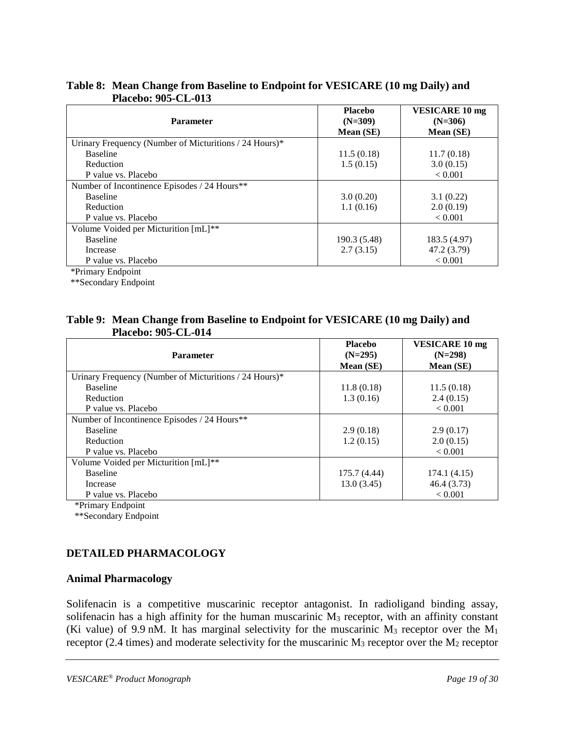| <b>Parameter</b>                                       | <b>Placebo</b><br>$(N=309)$ | <b>VESICARE 10 mg</b><br>$(N=306)$ |
|--------------------------------------------------------|-----------------------------|------------------------------------|
|                                                        | Mean (SE)                   | Mean (SE)                          |
| Urinary Frequency (Number of Micturitions / 24 Hours)* |                             |                                    |
| <b>Baseline</b>                                        | 11.5(0.18)                  | 11.7(0.18)                         |
| Reduction                                              | 1.5(0.15)                   | 3.0(0.15)                          |
| P value vs. Placebo                                    |                             | ${}_{< 0.001}$                     |
| Number of Incontinence Episodes / 24 Hours**           |                             |                                    |
| <b>Baseline</b>                                        | 3.0(0.20)                   | 3.1(0.22)                          |
| Reduction                                              | 1.1(0.16)                   | 2.0(0.19)                          |
| P value vs. Placebo                                    |                             | ${}_{< 0.001}$                     |
| Volume Voided per Micturition [mL]**                   |                             |                                    |
| <b>Baseline</b>                                        | 190.3 (5.48)                | 183.5 (4.97)                       |
| Increase                                               | 2.7(3.15)                   | 47.2 (3.79)                        |
| P value vs. Placebo                                    |                             | < 0.001                            |

#### **Table 8: Mean Change from Baseline to Endpoint for VESICARE (10 mg Daily) and Placebo: 905-CL-013**

\*Primary Endpoint

\*\*Secondary Endpoint

#### **Table 9: Mean Change from Baseline to Endpoint for VESICARE (10 mg Daily) and Placebo: 905-CL-014**

|                                                        | <b>Placebo</b> | <b>VESICARE 10 mg</b> |
|--------------------------------------------------------|----------------|-----------------------|
| <b>Parameter</b>                                       | $(N=295)$      | $(N=298)$             |
|                                                        | Mean (SE)      | Mean (SE)             |
| Urinary Frequency (Number of Micturitions / 24 Hours)* |                |                       |
| <b>Baseline</b>                                        | 11.8(0.18)     | 11.5(0.18)            |
| Reduction                                              | 1.3(0.16)      | 2.4(0.15)             |
| P value vs. Placebo                                    |                | < 0.001               |
| Number of Incontinence Episodes / 24 Hours**           |                |                       |
| <b>Baseline</b>                                        | 2.9(0.18)      | 2.9(0.17)             |
| Reduction                                              | 1.2(0.15)      | 2.0(0.15)             |
| P value vs. Placebo                                    |                | < 0.001               |
| Volume Voided per Micturition [mL]**                   |                |                       |
| <b>Baseline</b>                                        | 175.7 (4.44)   | 174.1(4.15)           |
| Increase                                               | 13.0(3.45)     | 46.4 (3.73)           |
| P value vs. Placebo                                    |                | < 0.001               |

\*Primary Endpoint

\*\*Secondary Endpoint

### <span id="page-18-0"></span>**DETAILED PHARMACOLOGY**

#### **Animal Pharmacology**

Solifenacin is a competitive muscarinic receptor antagonist. In radioligand binding assay, solifenacin has a high affinity for the human muscarinic  $M_3$  receptor, with an affinity constant (Ki value) of 9.9 nM. It has marginal selectivity for the muscarinic  $M_3$  receptor over the  $M_1$ receptor (2.4 times) and moderate selectivity for the muscarinic  $M_3$  receptor over the  $M_2$  receptor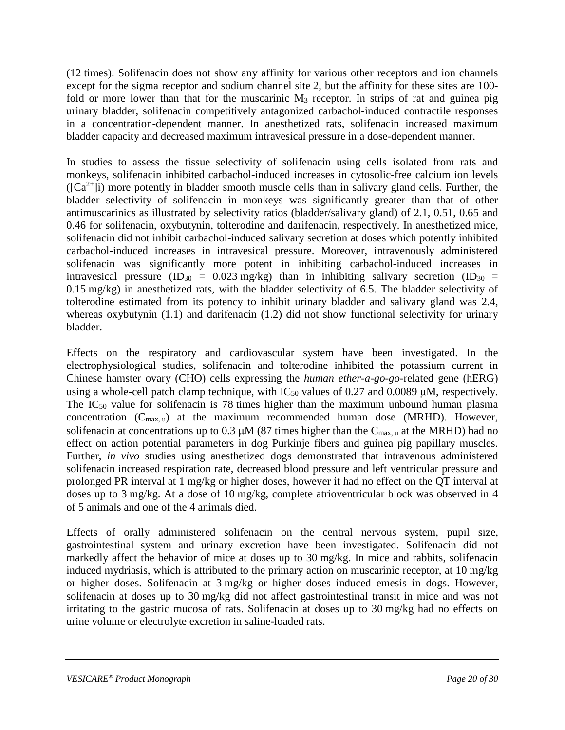(12 times). Solifenacin does not show any affinity for various other receptors and ion channels except for the sigma receptor and sodium channel site 2, but the affinity for these sites are 100 fold or more lower than that for the muscarinic  $M_3$  receptor. In strips of rat and guinea pig urinary bladder, solifenacin competitively antagonized carbachol-induced contractile responses in a concentration-dependent manner. In anesthetized rats, solifenacin increased maximum bladder capacity and decreased maximum intravesical pressure in a dose-dependent manner.

In studies to assess the tissue selectivity of solifenacin using cells isolated from rats and monkeys, solifenacin inhibited carbachol-induced increases in cytosolic-free calcium ion levels  $( [Ca<sup>2+</sup>]i)$  more potently in bladder smooth muscle cells than in salivary gland cells. Further, the bladder selectivity of solifenacin in monkeys was significantly greater than that of other antimuscarinics as illustrated by selectivity ratios (bladder/salivary gland) of 2.1, 0.51, 0.65 and 0.46 for solifenacin, oxybutynin, tolterodine and darifenacin, respectively. In anesthetized mice, solifenacin did not inhibit carbachol-induced salivary secretion at doses which potently inhibited carbachol-induced increases in intravesical pressure. Moreover, intravenously administered solifenacin was significantly more potent in inhibiting carbachol-induced increases in intravesical pressure (ID<sub>30</sub> = 0.023 mg/kg) than in inhibiting salivary secretion (ID<sub>30</sub> = 0.15 mg/kg) in anesthetized rats, with the bladder selectivity of 6.5. The bladder selectivity of tolterodine estimated from its potency to inhibit urinary bladder and salivary gland was 2.4, whereas oxybutynin (1.1) and darifenacin (1.2) did not show functional selectivity for urinary bladder.

Effects on the respiratory and cardiovascular system have been investigated. In the electrophysiological studies, solifenacin and tolterodine inhibited the potassium current in Chinese hamster ovary (CHO) cells expressing the *human ether-a-go-go*-related gene (hERG) using a whole-cell patch clamp technique, with  $IC_{50}$  values of 0.27 and 0.0089  $\mu$ M, respectively. The  $IC_{50}$  value for solifenacin is 78 times higher than the maximum unbound human plasma concentration  $(C_{max, u})$  at the maximum recommended human dose (MRHD). However, solifenacin at concentrations up to 0.3  $\mu$ M (87 times higher than the C<sub>max, u</sub> at the MRHD) had no effect on action potential parameters in dog Purkinje fibers and guinea pig papillary muscles. Further, *in vivo* studies using anesthetized dogs demonstrated that intravenous administered solifenacin increased respiration rate, decreased blood pressure and left ventricular pressure and prolonged PR interval at 1 mg/kg or higher doses, however it had no effect on the QT interval at doses up to 3 mg/kg. At a dose of 10 mg/kg, complete atrioventricular block was observed in 4 of 5 animals and one of the 4 animals died.

Effects of orally administered solifenacin on the central nervous system, pupil size, gastrointestinal system and urinary excretion have been investigated. Solifenacin did not markedly affect the behavior of mice at doses up to 30 mg/kg. In mice and rabbits, solifenacin induced mydriasis, which is attributed to the primary action on muscarinic receptor, at 10 mg/kg or higher doses. Solifenacin at 3 mg/kg or higher doses induced emesis in dogs. However, solifenacin at doses up to 30 mg/kg did not affect gastrointestinal transit in mice and was not irritating to the gastric mucosa of rats. Solifenacin at doses up to 30 mg/kg had no effects on urine volume or electrolyte excretion in saline-loaded rats.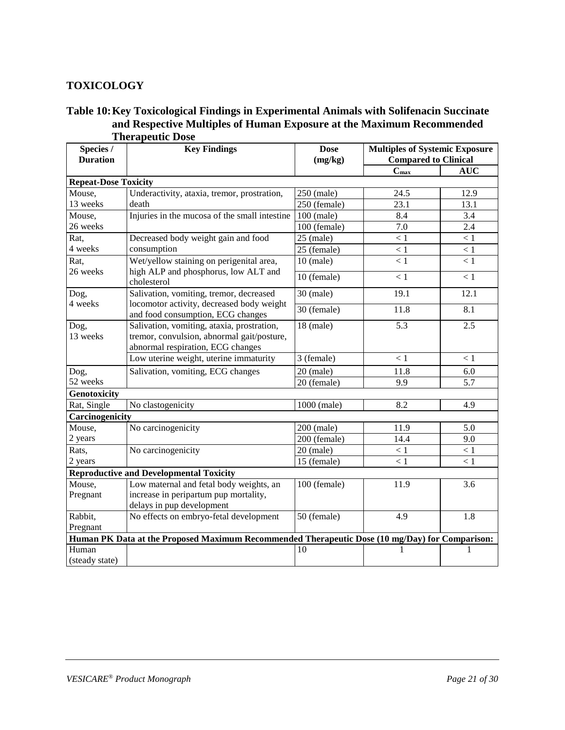#### <span id="page-20-0"></span>**TOXICOLOGY**

#### **Table 10:Key Toxicological Findings in Experimental Animals with Solifenacin Succinate and Respective Multiples of Human Exposure at the Maximum Recommended Therapeutic Dose**

| Species /<br><b>Duration</b> | <b>Key Findings</b>                                                                                                           | <b>Dose</b><br>(mg/kg) | <b>Multiples of Systemic Exposure</b><br><b>Compared to Clinical</b> |            |  |
|------------------------------|-------------------------------------------------------------------------------------------------------------------------------|------------------------|----------------------------------------------------------------------|------------|--|
|                              |                                                                                                                               |                        | $C_{\text{max}}$                                                     | <b>AUC</b> |  |
| <b>Repeat-Dose Toxicity</b>  |                                                                                                                               |                        |                                                                      |            |  |
| Mouse,                       | Underactivity, ataxia, tremor, prostration,                                                                                   | 250 (male)             | 24.5                                                                 | 12.9       |  |
| 13 weeks                     | death                                                                                                                         | 250 (female)           | 23.1                                                                 | 13.1       |  |
| Mouse,                       | Injuries in the mucosa of the small intestine                                                                                 | 100 (male)             | 8.4                                                                  | 3.4        |  |
| 26 weeks                     |                                                                                                                               | 100 (female)           | 7.0                                                                  | 2.4        |  |
| Rat,                         | Decreased body weight gain and food                                                                                           | $25$ (male)            | < 1                                                                  | $<1\,$     |  |
| 4 weeks                      | consumption                                                                                                                   | 25 (female)            | < 1                                                                  | < 1        |  |
| Rat,<br>26 weeks             | Wet/yellow staining on perigenital area,<br>high ALP and phosphorus, low ALT and                                              | $10$ (male)            | < 1                                                                  | < 1        |  |
|                              | cholesterol                                                                                                                   | 10 (female)            | < 1                                                                  | < 1        |  |
| Dog,                         | Salivation, vomiting, tremor, decreased                                                                                       | $30$ (male)            | 19.1                                                                 | 12.1       |  |
| 4 weeks                      | locomotor activity, decreased body weight<br>and food consumption, ECG changes                                                | 30 (female)            | 11.8                                                                 | 8.1        |  |
| Dog,<br>13 weeks             | Salivation, vomiting, ataxia, prostration,<br>tremor, convulsion, abnormal gait/posture,<br>abnormal respiration, ECG changes | $18$ (male)            | 5.3                                                                  | 2.5        |  |
|                              | Low uterine weight, uterine immaturity                                                                                        | 3 (female)             | < 1                                                                  | < 1        |  |
| Dog,                         | Salivation, vomiting, ECG changes                                                                                             | $20$ (male)            | 11.8                                                                 | 6.0        |  |
| 52 weeks                     |                                                                                                                               | 20 (female)            | 9.9                                                                  | 5.7        |  |
| <b>Genotoxicity</b>          |                                                                                                                               |                        |                                                                      |            |  |
| Rat, Single                  | No clastogenicity                                                                                                             | 1000 (male)            | 8.2                                                                  | 4.9        |  |
| Carcinogenicity              |                                                                                                                               |                        |                                                                      |            |  |
| Mouse,                       | No carcinogenicity                                                                                                            | 200 (male)             | 11.9                                                                 | 5.0        |  |
| 2 years                      |                                                                                                                               | 200 (female)           | 14.4                                                                 | 9.0        |  |
| Rats,                        | No carcinogenicity                                                                                                            | $20$ (male)            | < 1                                                                  | $\leq 1$   |  |
| 2 years                      |                                                                                                                               | 15 (female)            | < 1                                                                  | < 1        |  |
|                              | <b>Reproductive and Developmental Toxicity</b>                                                                                |                        |                                                                      |            |  |
| Mouse,                       | Low maternal and fetal body weights, an                                                                                       | 100 (female)           | 11.9                                                                 | 3.6        |  |
| Pregnant                     | increase in peripartum pup mortality,                                                                                         |                        |                                                                      |            |  |
|                              | delays in pup development                                                                                                     |                        |                                                                      |            |  |
| Rabbit,                      | No effects on embryo-fetal development                                                                                        | 50 (female)            | 4.9                                                                  | 1.8        |  |
| Pregnant                     |                                                                                                                               |                        |                                                                      |            |  |
|                              | Human PK Data at the Proposed Maximum Recommended Therapeutic Dose (10 mg/Day) for Comparison:                                |                        |                                                                      |            |  |
| Human                        |                                                                                                                               | 10                     | 1                                                                    | 1          |  |
| (steady state)               |                                                                                                                               |                        |                                                                      |            |  |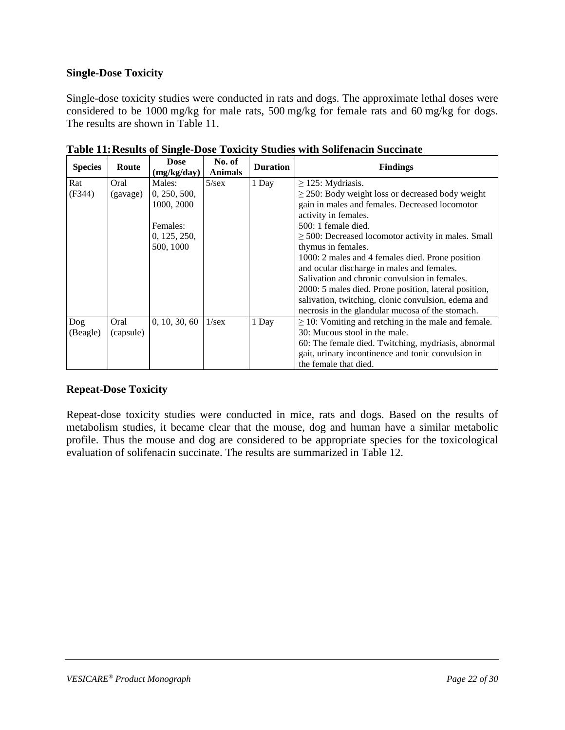#### **Single-Dose Toxicity**

Single-dose toxicity studies were conducted in rats and dogs. The approximate lethal doses were considered to be 1000 mg/kg for male rats, 500 mg/kg for female rats and 60 mg/kg for dogs. The results are shown in Table 11.

| <b>Species</b> | Route     | <b>Dose</b><br>(mg/kg/day) | No. of<br><b>Animals</b> | <b>Duration</b> | <b>Findings</b>                                          |
|----------------|-----------|----------------------------|--------------------------|-----------------|----------------------------------------------------------|
| Rat            | Oral      | Males:                     | $5/\text{sex}$           | 1 Day           | $\geq$ 125: Mydriasis.                                   |
| (F344)         | (gavage)  | 0, 250, 500,               |                          |                 | $\geq$ 250: Body weight loss or decreased body weight    |
|                |           | 1000, 2000                 |                          |                 | gain in males and females. Decreased locomotor           |
|                |           |                            |                          |                 | activity in females.                                     |
|                |           | Females:                   |                          |                 | 500: 1 female died.                                      |
|                |           | 0, 125, 250,               |                          |                 | $\geq$ 500: Decreased locomotor activity in males. Small |
|                |           | 500, 1000                  |                          |                 | thymus in females.                                       |
|                |           |                            |                          |                 | 1000: 2 males and 4 females died. Prone position         |
|                |           |                            |                          |                 | and ocular discharge in males and females.               |
|                |           |                            |                          |                 | Salivation and chronic convulsion in females.            |
|                |           |                            |                          |                 | 2000: 5 males died. Prone position, lateral position,    |
|                |           |                            |                          |                 | salivation, twitching, clonic convulsion, edema and      |
|                |           |                            |                          |                 | necrosis in the glandular mucosa of the stomach.         |
| Dog            | Oral      | 0, 10, 30, 60              | $1/\text{sex}$           | 1 Day           | $\geq$ 10: Vomiting and retching in the male and female. |
| (Beagle)       | (capsule) |                            |                          |                 | 30: Mucous stool in the male.                            |
|                |           |                            |                          |                 | 60: The female died. Twitching, mydriasis, abnormal      |
|                |           |                            |                          |                 | gait, urinary incontinence and tonic convulsion in       |
|                |           |                            |                          |                 | the female that died.                                    |

**Table 11:Results of Single-Dose Toxicity Studies with Solifenacin Succinate**

### **Repeat-Dose Toxicity**

Repeat-dose toxicity studies were conducted in mice, rats and dogs. Based on the results of metabolism studies, it became clear that the mouse, dog and human have a similar metabolic profile. Thus the mouse and dog are considered to be appropriate species for the toxicological evaluation of solifenacin succinate. The results are summarized in Table 12.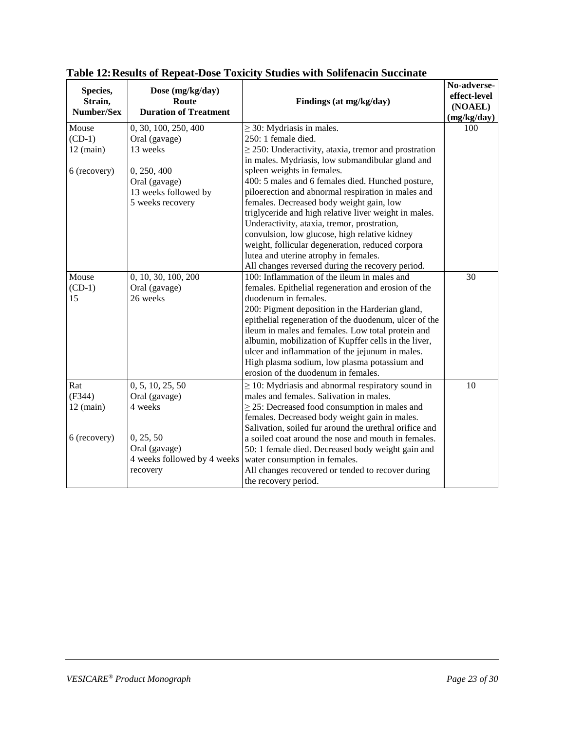| Species,<br>Strain,<br>Number/Sex | Dose (mg/kg/day)<br>Route<br><b>Duration of Treatment</b> | Findings (at mg/kg/day)                                   | No-adverse-<br>effect-level<br>(NOAEL)<br>(mg/kg/day) |
|-----------------------------------|-----------------------------------------------------------|-----------------------------------------------------------|-------------------------------------------------------|
| Mouse                             | 0, 30, 100, 250, 400                                      | $\geq$ 30: Mydriasis in males.                            | 100                                                   |
| $(CD-1)$                          | Oral (gavage)                                             | 250: 1 female died.                                       |                                                       |
| $12$ (main)                       | 13 weeks                                                  | $\geq$ 250: Underactivity, ataxia, tremor and prostration |                                                       |
|                                   |                                                           | in males. Mydriasis, low submandibular gland and          |                                                       |
| 6 (recovery)                      | 0, 250, 400                                               | spleen weights in females.                                |                                                       |
|                                   | Oral (gavage)                                             | 400: 5 males and 6 females died. Hunched posture,         |                                                       |
|                                   | 13 weeks followed by                                      | piloerection and abnormal respiration in males and        |                                                       |
|                                   | 5 weeks recovery                                          | females. Decreased body weight gain, low                  |                                                       |
|                                   |                                                           | triglyceride and high relative liver weight in males.     |                                                       |
|                                   |                                                           | Underactivity, ataxia, tremor, prostration,               |                                                       |
|                                   |                                                           | convulsion, low glucose, high relative kidney             |                                                       |
|                                   |                                                           | weight, follicular degeneration, reduced corpora          |                                                       |
|                                   |                                                           | lutea and uterine atrophy in females.                     |                                                       |
|                                   |                                                           | All changes reversed during the recovery period.          |                                                       |
| Mouse                             | 0, 10, 30, 100, 200                                       | 100: Inflammation of the ileum in males and               | 30                                                    |
| $(CD-1)$                          | Oral (gavage)                                             | females. Epithelial regeneration and erosion of the       |                                                       |
| 15                                | 26 weeks                                                  | duodenum in females.                                      |                                                       |
|                                   |                                                           | 200: Pigment deposition in the Harderian gland,           |                                                       |
|                                   |                                                           | epithelial regeneration of the duodenum, ulcer of the     |                                                       |
|                                   |                                                           | ileum in males and females. Low total protein and         |                                                       |
|                                   |                                                           | albumin, mobilization of Kupffer cells in the liver,      |                                                       |
|                                   |                                                           | ulcer and inflammation of the jejunum in males.           |                                                       |
|                                   |                                                           | High plasma sodium, low plasma potassium and              |                                                       |
|                                   |                                                           | erosion of the duodenum in females.                       |                                                       |
| Rat                               | 0, 5, 10, 25, 50                                          | $\geq$ 10: Mydriasis and abnormal respiratory sound in    | 10                                                    |
| (F344)                            | Oral (gavage)                                             | males and females. Salivation in males.                   |                                                       |
| $12$ (main)                       | 4 weeks                                                   | $\geq$ 25: Decreased food consumption in males and        |                                                       |
|                                   |                                                           | females. Decreased body weight gain in males.             |                                                       |
|                                   |                                                           | Salivation, soiled fur around the urethral orifice and    |                                                       |
| 6 (recovery)                      | 0, 25, 50                                                 | a soiled coat around the nose and mouth in females.       |                                                       |
|                                   | Oral (gavage)                                             | 50: 1 female died. Decreased body weight gain and         |                                                       |
|                                   | 4 weeks followed by 4 weeks                               | water consumption in females.                             |                                                       |
|                                   | recovery                                                  | All changes recovered or tended to recover during         |                                                       |
|                                   |                                                           | the recovery period.                                      |                                                       |
|                                   |                                                           |                                                           |                                                       |

|  | Table 12: Results of Repeat-Dose Toxicity Studies with Solifenacin Succinate |  |  |  |  |
|--|------------------------------------------------------------------------------|--|--|--|--|
|  |                                                                              |  |  |  |  |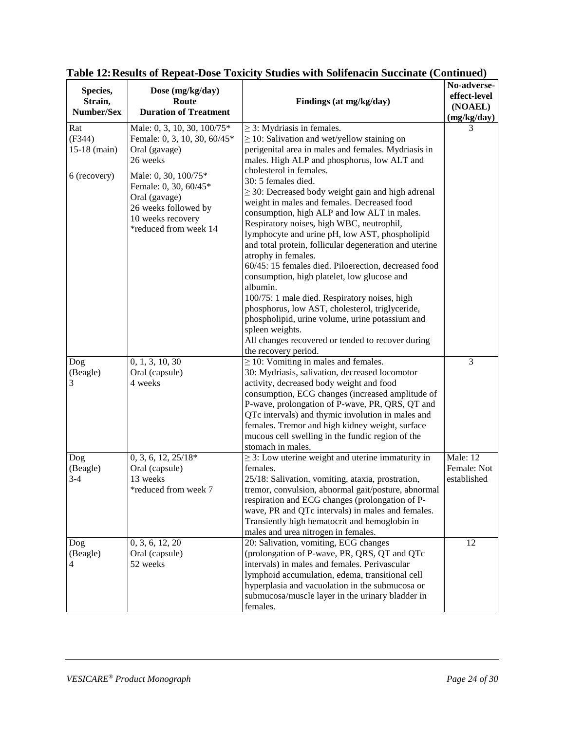| Species,<br>Strain,<br>Number/Sex               | Dose (mg/kg/day)<br>Route<br><b>Duration of Treatment</b>                                                                                                                                                                        | Findings (at mg/kg/day)                                                                                                                                                                                                                                                                                                                                                                                                                                                                                                                                                                                                                                                                                                                                                                                                                                                                                                                                       | No-adverse-<br>effect-level<br>(NOAEL)<br>(mg/kg/day) |
|-------------------------------------------------|----------------------------------------------------------------------------------------------------------------------------------------------------------------------------------------------------------------------------------|---------------------------------------------------------------------------------------------------------------------------------------------------------------------------------------------------------------------------------------------------------------------------------------------------------------------------------------------------------------------------------------------------------------------------------------------------------------------------------------------------------------------------------------------------------------------------------------------------------------------------------------------------------------------------------------------------------------------------------------------------------------------------------------------------------------------------------------------------------------------------------------------------------------------------------------------------------------|-------------------------------------------------------|
| Rat<br>(F344)<br>$15-18$ (main)<br>6 (recovery) | Male: 0, 3, 10, 30, 100/75*<br>Female: 0, 3, 10, 30, 60/45*<br>Oral (gavage)<br>26 weeks<br>Male: 0, 30, 100/75*<br>Female: 0, 30, 60/45*<br>Oral (gavage)<br>26 weeks followed by<br>10 weeks recovery<br>*reduced from week 14 | $\geq$ 3: Mydriasis in females.<br>$\geq$ 10: Salivation and wet/yellow staining on<br>perigenital area in males and females. Mydriasis in<br>males. High ALP and phosphorus, low ALT and<br>cholesterol in females.<br>30: 5 females died.<br>$\geq$ 30: Decreased body weight gain and high adrenal<br>weight in males and females. Decreased food<br>consumption, high ALP and low ALT in males.<br>Respiratory noises, high WBC, neutrophil,<br>lymphocyte and urine pH, low AST, phospholipid<br>and total protein, follicular degeneration and uterine<br>atrophy in females.<br>60/45: 15 females died. Piloerection, decreased food<br>consumption, high platelet, low glucose and<br>albumin.<br>100/75: 1 male died. Respiratory noises, high<br>phosphorus, low AST, cholesterol, triglyceride,<br>phospholipid, urine volume, urine potassium and<br>spleen weights.<br>All changes recovered or tended to recover during<br>the recovery period. | 3                                                     |
| Dog<br>(Beagle)<br>3                            | 0, 1, 3, 10, 30<br>Oral (capsule)<br>4 weeks                                                                                                                                                                                     | $\geq$ 10: Vomiting in males and females.<br>30: Mydriasis, salivation, decreased locomotor<br>activity, decreased body weight and food<br>consumption, ECG changes (increased amplitude of<br>P-wave, prolongation of P-wave, PR, QRS, QT and<br>QTc intervals) and thymic involution in males and<br>females. Tremor and high kidney weight, surface<br>mucous cell swelling in the fundic region of the<br>stomach in males.                                                                                                                                                                                                                                                                                                                                                                                                                                                                                                                               | 3                                                     |
| Dog<br>(Beagle)<br>$3-4$                        | $0, 3, 6, 12, 25/18*$<br>Oral (capsule)<br>13 weeks<br>*reduced from week 7                                                                                                                                                      | $\geq$ 3: Low uterine weight and uterine immaturity in<br>females.<br>25/18: Salivation, vomiting, ataxia, prostration,<br>tremor, convulsion, abnormal gait/posture, abnormal<br>respiration and ECG changes (prolongation of P-<br>wave, PR and QTc intervals) in males and females.<br>Transiently high hematocrit and hemoglobin in<br>males and urea nitrogen in females.                                                                                                                                                                                                                                                                                                                                                                                                                                                                                                                                                                                | Male: 12<br>Female: Not<br>established                |
| Dog<br>(Beagle)<br>4                            | 0, 3, 6, 12, 20<br>Oral (capsule)<br>52 weeks                                                                                                                                                                                    | 20: Salivation, vomiting, ECG changes<br>(prolongation of P-wave, PR, QRS, QT and QTc<br>intervals) in males and females. Perivascular<br>lymphoid accumulation, edema, transitional cell<br>hyperplasia and vacuolation in the submucosa or<br>submucosa/muscle layer in the urinary bladder in<br>females.                                                                                                                                                                                                                                                                                                                                                                                                                                                                                                                                                                                                                                                  | 12                                                    |

## **Table 12:Results of Repeat-Dose Toxicity Studies with Solifenacin Succinate (Continued)**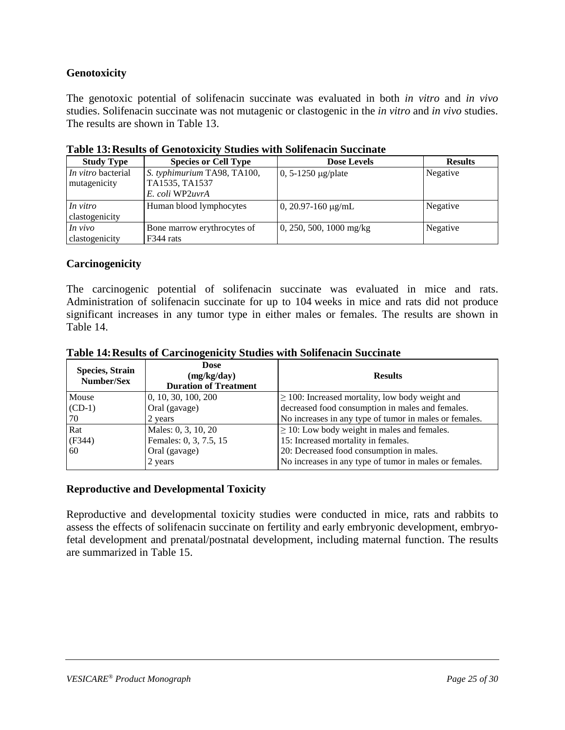### **Genotoxicity**

The genotoxic potential of solifenacin succinate was evaluated in both *in vitro* and *in vivo* studies. Solifenacin succinate was not mutagenic or clastogenic in the *in vitro* and *in vivo* studies. The results are shown in Table 13.

| <b>Study Type</b>                         | <b>Species or Cell Type</b>                                      | <b>Dose Levels</b>        | <b>Results</b> |
|-------------------------------------------|------------------------------------------------------------------|---------------------------|----------------|
| <i>In vitro</i> bacterial<br>mutagenicity | S. typhimurium TA98, TA100,<br>TA1535, TA1537<br>E. coli WP2uvrA | $0, 5-1250 \mu g$ plate   | Negative       |
| In vitro<br>clastogenicity                | Human blood lymphocytes                                          | 0, 20.97-160 $\mu$ g/mL   | Negative       |
| In vivo<br>clastogenicity                 | Bone marrow erythrocytes of<br>F344 rats                         | $0, 250, 500, 1000$ mg/kg | Negative       |

| Table 13: Results of Genotoxicity Studies with Solifenacin Succinate |  |  |
|----------------------------------------------------------------------|--|--|
|                                                                      |  |  |

#### **Carcinogenicity**

The carcinogenic potential of solifenacin succinate was evaluated in mice and rats. Administration of solifenacin succinate for up to 104 weeks in mice and rats did not produce significant increases in any tumor type in either males or females. The results are shown in Table 14.

| <b>Species, Strain</b><br>Number/Sex | <b>Dose</b><br>(mg/kg/day)<br><b>Duration of Treatment</b> | <b>Results</b>                                         |
|--------------------------------------|------------------------------------------------------------|--------------------------------------------------------|
| Mouse                                | 0, 10, 30, 100, 200                                        | $\geq$ 100: Increased mortality, low body weight and   |
| $(CD-1)$                             | Oral (gavage)                                              | decreased food consumption in males and females.       |
| 70                                   | 2 years                                                    | No increases in any type of tumor in males or females. |
| Rat                                  | Males: 0, 3, 10, 20                                        | $\geq$ 10: Low body weight in males and females.       |
| (F344)                               | Females: 0, 3, 7.5, 15                                     | 15: Increased mortality in females.                    |
| 60                                   | Oral (gavage)                                              | 20: Decreased food consumption in males.               |
|                                      | 2 years                                                    | No increases in any type of tumor in males or females. |

#### **Reproductive and Developmental Toxicity**

Reproductive and developmental toxicity studies were conducted in mice, rats and rabbits to assess the effects of solifenacin succinate on fertility and early embryonic development, embryofetal development and prenatal/postnatal development, including maternal function. The results are summarized in Table 15.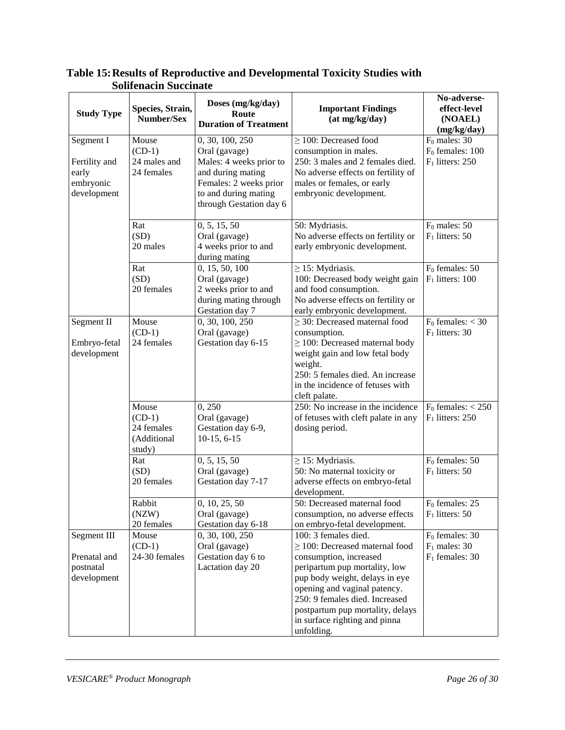| <b>Study Type</b>                                               | Species, Strain,<br>Number/Sex                           | Doses (mg/kg/day)<br>Route<br><b>Duration of Treatment</b>                                                                                                    | <b>Important Findings</b><br>(at mg/kg/day)                                                                                                                                                                                                                                                                   | No-adverse-<br>effect-level<br>(NOAEL)<br>(mg/kg/day)      |
|-----------------------------------------------------------------|----------------------------------------------------------|---------------------------------------------------------------------------------------------------------------------------------------------------------------|---------------------------------------------------------------------------------------------------------------------------------------------------------------------------------------------------------------------------------------------------------------------------------------------------------------|------------------------------------------------------------|
| Segment I<br>Fertility and<br>early<br>embryonic<br>development | Mouse<br>$(CD-1)$<br>24 males and<br>24 females          | 0, 30, 100, 250<br>Oral (gavage)<br>Males: 4 weeks prior to<br>and during mating<br>Females: 2 weeks prior<br>to and during mating<br>through Gestation day 6 | $\geq$ 100: Decreased food<br>consumption in males.<br>250: 3 males and 2 females died.<br>No adverse effects on fertility of<br>males or females, or early<br>embryonic development.                                                                                                                         | $F_0$ males: 30<br>$F0$ females: 100<br>$F_1$ litters: 250 |
|                                                                 | Rat<br>(SD)<br>20 males                                  | 0, 5, 15, 50<br>Oral (gavage)<br>4 weeks prior to and<br>during mating                                                                                        | 50: Mydriasis.<br>No adverse effects on fertility or<br>early embryonic development.                                                                                                                                                                                                                          | $F_0$ males: 50<br>$F_1$ litters: 50                       |
|                                                                 | Rat<br>(SD)<br>20 females                                | 0, 15, 50, 100<br>Oral (gavage)<br>2 weeks prior to and<br>during mating through<br>Gestation day 7                                                           | $\geq$ 15: Mydriasis.<br>100: Decreased body weight gain<br>and food consumption.<br>No adverse effects on fertility or<br>early embryonic development.                                                                                                                                                       | $F_0$ females: 50<br>$F_1$ litters: 100                    |
| Segment II<br>Embryo-fetal<br>development                       | Mouse<br>$(CD-1)$<br>24 females                          | 0, 30, 100, 250<br>Oral (gavage)<br>Gestation day 6-15                                                                                                        | $\geq$ 30: Decreased maternal food<br>consumption.<br>$\geq$ 100: Decreased maternal body<br>weight gain and low fetal body<br>weight.<br>250: 5 females died. An increase<br>in the incidence of fetuses with<br>cleft palate.                                                                               | $F_0$ females: $<$ 30<br>$F_1$ litters: 30                 |
|                                                                 | Mouse<br>$(CD-1)$<br>24 females<br>(Additional<br>study) | 0,250<br>Oral (gavage)<br>Gestation day 6-9,<br>$10-15, 6-15$                                                                                                 | 250: No increase in the incidence<br>of fetuses with cleft palate in any<br>dosing period.                                                                                                                                                                                                                    | $F_0$ females: $<$ 250<br>$F_1$ litters: 250               |
|                                                                 | Rat<br>(SD)<br>20 females                                | 0, 5, 15, 50<br>Oral (gavage)<br>Gestation day 7-17                                                                                                           | $\geq$ 15: Mydriasis.<br>50: No maternal toxicity or<br>adverse effects on embryo-fetal<br>development.                                                                                                                                                                                                       | $F_0$ females: 50<br>$F_1$ litters: 50                     |
|                                                                 | Rabbit<br>(NZW)<br>20 females                            | 0, 10, 25, 50<br>Oral (gavage)<br>Gestation day 6-18                                                                                                          | 50: Decreased maternal food<br>consumption, no adverse effects<br>on embryo-fetal development.                                                                                                                                                                                                                | $F0$ females: 25<br>$F_1$ litters: 50                      |
| Segment III<br>Prenatal and<br>postnatal<br>development         | Mouse<br>$(CD-1)$<br>24-30 females                       | 0, 30, 100, 250<br>Oral (gavage)<br>Gestation day 6 to<br>Lactation day 20                                                                                    | 100: 3 females died.<br>$\geq$ 100: Decreased maternal food<br>consumption, increased<br>peripartum pup mortality, low<br>pup body weight, delays in eye<br>opening and vaginal patency.<br>250: 9 females died. Increased<br>postpartum pup mortality, delays<br>in surface righting and pinna<br>unfolding. | $F_0$ females: 30<br>$F_1$ males: 30<br>$F_1$ females: 30  |

### **Table 15:Results of Reproductive and Developmental Toxicity Studies with Solifenacin Succinate**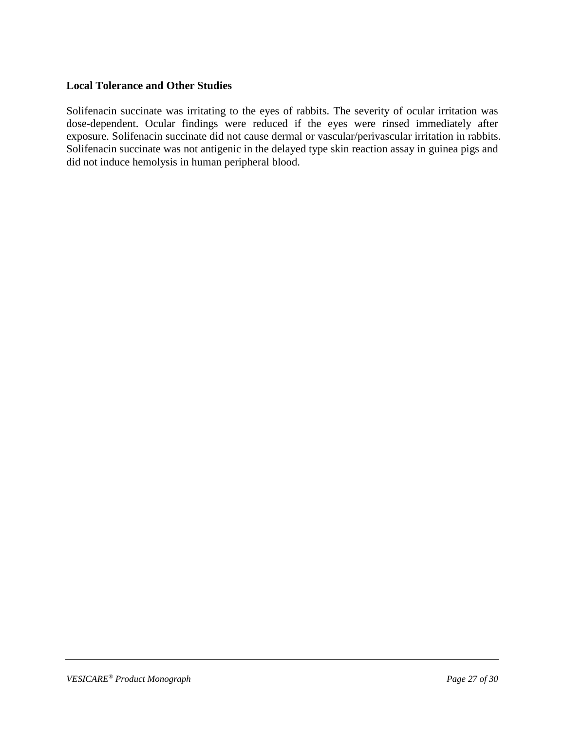#### **Local Tolerance and Other Studies**

Solifenacin succinate was irritating to the eyes of rabbits. The severity of ocular irritation was dose-dependent. Ocular findings were reduced if the eyes were rinsed immediately after exposure. Solifenacin succinate did not cause dermal or vascular/perivascular irritation in rabbits. Solifenacin succinate was not antigenic in the delayed type skin reaction assay in guinea pigs and did not induce hemolysis in human peripheral blood.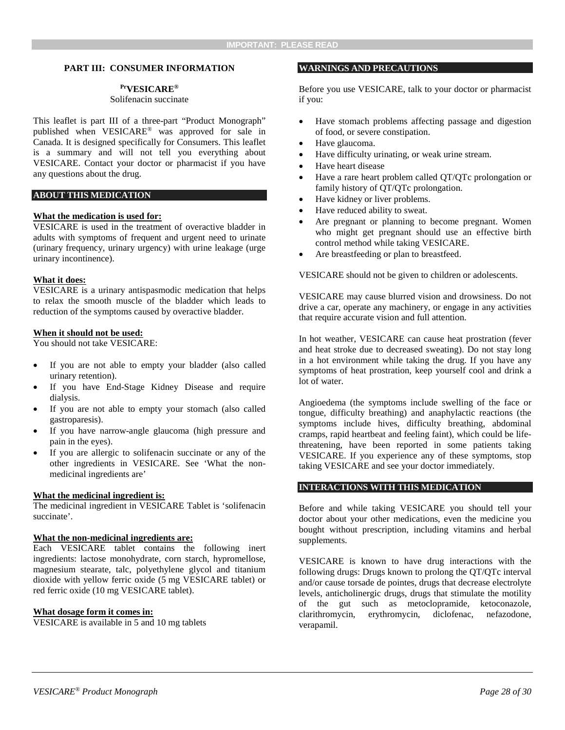#### <span id="page-27-0"></span>**PART III: CONSUMER INFORMATION**

#### **PrVESICARE®**

#### Solifenacin succinate

This leaflet is part III of a three-part "Product Monograph" published when VESICARE® was approved for sale in Canada. It is designed specifically for Consumers. This leaflet is a summary and will not tell you everything about VESICARE. Contact your doctor or pharmacist if you have any questions about the drug.

#### **ABOUT THIS MEDICATION**

#### **What the medication is used for:**

VESICARE is used in the treatment of overactive bladder in adults with symptoms of frequent and urgent need to urinate (urinary frequency, urinary urgency) with urine leakage (urge urinary incontinence).

#### **What it does:**

VESICARE is a urinary antispasmodic medication that helps to relax the smooth muscle of the bladder which leads to reduction of the symptoms caused by overactive bladder.

#### **When it should not be used:**

You should not take VESICARE:

- If you are not able to empty your bladder (also called urinary retention).
- If you have End-Stage Kidney Disease and require dialysis.
- If you are not able to empty your stomach (also called gastroparesis).
- If you have narrow-angle glaucoma (high pressure and pain in the eyes).
- If you are allergic to solifenacin succinate or any of the other ingredients in VESICARE. See 'What the nonmedicinal ingredients are'

#### **What the medicinal ingredient is:**

The medicinal ingredient in VESICARE Tablet is 'solifenacin succinate'.

#### **What the non-medicinal ingredients are:**

Each VESICARE tablet contains the following inert ingredients: lactose monohydrate, corn starch, hypromellose, magnesium stearate, talc, polyethylene glycol and titanium dioxide with yellow ferric oxide (5 mg VESICARE tablet) or red ferric oxide (10 mg VESICARE tablet).

#### **What dosage form it comes in:**

VESICARE is available in 5 and 10 mg tablets

#### **WARNINGS AND PRECAUTIONS**

Before you use VESICARE, talk to your doctor or pharmacist if you:

- Have stomach problems affecting passage and digestion of food, or severe constipation.
- Have glaucoma.
- Have difficulty urinating, or weak urine stream.
- Have heart disease
- Have a rare heart problem called QT/QTc prolongation or family history of QT/QTc prolongation.
- Have kidney or liver problems.
- Have reduced ability to sweat.
- Are pregnant or planning to become pregnant. Women who might get pregnant should use an effective birth control method while taking VESICARE.
- Are breastfeeding or plan to breastfeed.

VESICARE should not be given to children or adolescents.

VESICARE may cause blurred vision and drowsiness. Do not drive a car, operate any machinery, or engage in any activities that require accurate vision and full attention.

In hot weather, VESICARE can cause heat prostration (fever and heat stroke due to decreased sweating). Do not stay long in a hot environment while taking the drug. If you have any symptoms of heat prostration, keep yourself cool and drink a lot of water.

Angioedema (the symptoms include swelling of the face or tongue, difficulty breathing) and anaphylactic reactions (the symptoms include hives, difficulty breathing, abdominal cramps, rapid heartbeat and feeling faint), which could be lifethreatening, have been reported in some patients taking VESICARE. If you experience any of these symptoms, stop taking VESICARE and see your doctor immediately.

#### **INTERACTIONS WITH THIS MEDICATION**

Before and while taking VESICARE you should tell your doctor about your other medications, even the medicine you bought without prescription, including vitamins and herbal supplements.

VESICARE is known to have drug interactions with the following drugs: Drugs known to prolong the QT/QTc interval and/or cause torsade de pointes, drugs that decrease electrolyte levels, anticholinergic drugs, drugs that stimulate the motility of the gut such as metoclopramide, ketoconazole, clarithromycin, erythromycin, diclofenac, nefazodone, verapamil.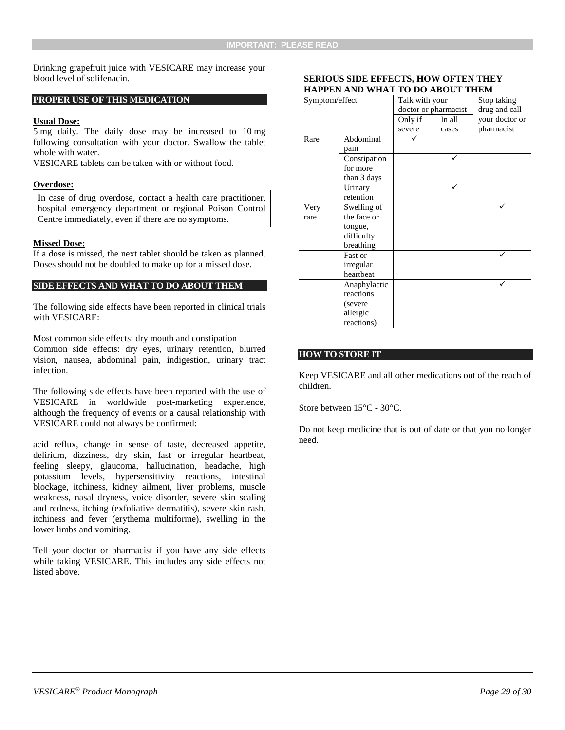Drinking grapefruit juice with VESICARE may increase your blood level of solifenacin.

#### **PROPER USE OF THIS MEDICATION**

#### **Usual Dose:**

5 mg daily. The daily dose may be increased to 10 mg following consultation with your doctor. Swallow the tablet whole with water.

VESICARE tablets can be taken with or without food.

#### **Overdose:**

In case of drug overdose, contact a health care practitioner, hospital emergency department or regional Poison Control Centre immediately, even if there are no symptoms.

#### **Missed Dose:**

If a dose is missed, the next tablet should be taken as planned. Doses should not be doubled to make up for a missed dose.

#### **SIDE EFFECTS AND WHAT TO DO ABOUT THEM**

The following side effects have been reported in clinical trials with VESICARE:

Most common side effects: dry mouth and constipation Common side effects: dry eyes, urinary retention, blurred vision, nausea, abdominal pain, indigestion, urinary tract infection.

The following side effects have been reported with the use of VESICARE in worldwide post-marketing experience, although the frequency of events or a causal relationship with VESICARE could not always be confirmed:

acid reflux, change in sense of taste, decreased appetite, delirium, dizziness, dry skin, fast or irregular heartbeat, feeling sleepy, glaucoma, hallucination, headache, high potassium levels, hypersensitivity reactions, intestinal blockage, itchiness, kidney ailment, liver problems, muscle weakness, nasal dryness, voice disorder, severe skin scaling and redness, itching (exfoliative dermatitis), severe skin rash, itchiness and fever (erythema multiforme), swelling in the lower limbs and vomiting.

Tell your doctor or pharmacist if you have any side effects while taking VESICARE. This includes any side effects not listed above.

#### **SERIOUS SIDE EFFECTS, HOW OFTEN THEY HAPPEN AND WHAT TO DO ABOUT THEM**

| Symptom/effect |              | Talk with your       |        | го во мвоет типи<br>Stop taking |
|----------------|--------------|----------------------|--------|---------------------------------|
|                |              | doctor or pharmacist |        | drug and call                   |
|                |              | Only if              | In all | your doctor or                  |
|                |              | severe               | cases  | pharmacist                      |
| Rare           | Abdominal    |                      |        |                                 |
|                | pain         |                      |        |                                 |
|                | Constipation |                      |        |                                 |
|                | for more     |                      |        |                                 |
|                | than 3 days  |                      |        |                                 |
|                | Urinary      |                      |        |                                 |
|                | retention    |                      |        |                                 |
| Very           | Swelling of  |                      |        |                                 |
| rare           | the face or  |                      |        |                                 |
|                | tongue,      |                      |        |                                 |
|                | difficulty   |                      |        |                                 |
|                | breathing    |                      |        |                                 |
|                | Fast or      |                      |        |                                 |
|                | irregular    |                      |        |                                 |
|                | heartbeat    |                      |        |                                 |
|                | Anaphylactic |                      |        |                                 |
|                | reactions    |                      |        |                                 |
|                | (severe      |                      |        |                                 |
|                | allergic     |                      |        |                                 |
|                | reactions)   |                      |        |                                 |

#### **HOW TO STORE IT**

Keep VESICARE and all other medications out of the reach of children.

Store between 15°C - 30°C.

Do not keep medicine that is out of date or that you no longer need.